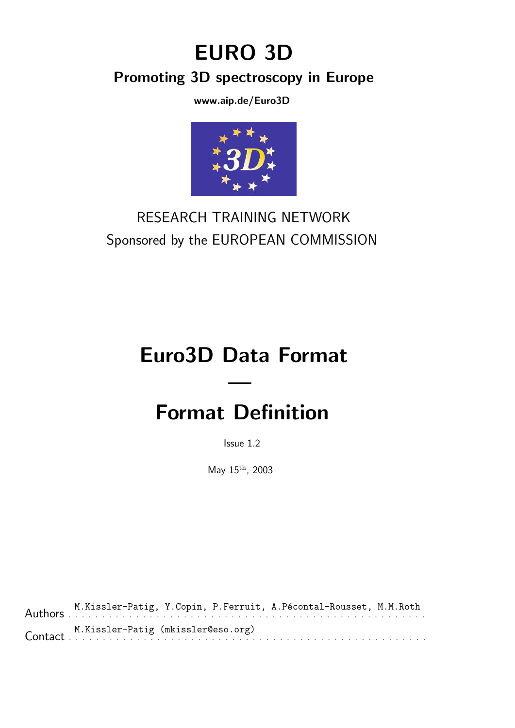# EURO 3D

# Promoting 3D spectroscopy in Europe

www.aip.de/Euro3D



# RESEARCH TRAINING NETWORK Sponsored by the EUROPEAN COMMISSION

# Euro3D Data Format

# Format Definition

—

Issue 1.2

May 15th, 2003

M.Kissler-Patig, Y.Copin, P.Ferruit, A.P´econtal-Rousset, M.M.Roth Authors . . . . . . . . . . . . . . . . . . . . . . . . . . . . . . . . . . . . . . . . . . . . . . . . . . . . . M.Kissler-Patig (mkissler@eso.org) Contact . . . . . . . . . . . . . . . . . . . . . . . . . . . . . . . . . . . . . . . . . . . . . . . . . . . . .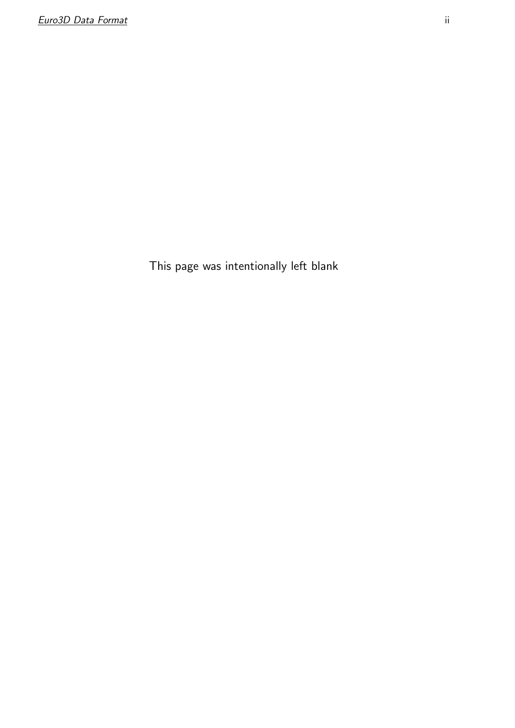This page was intentionally left blank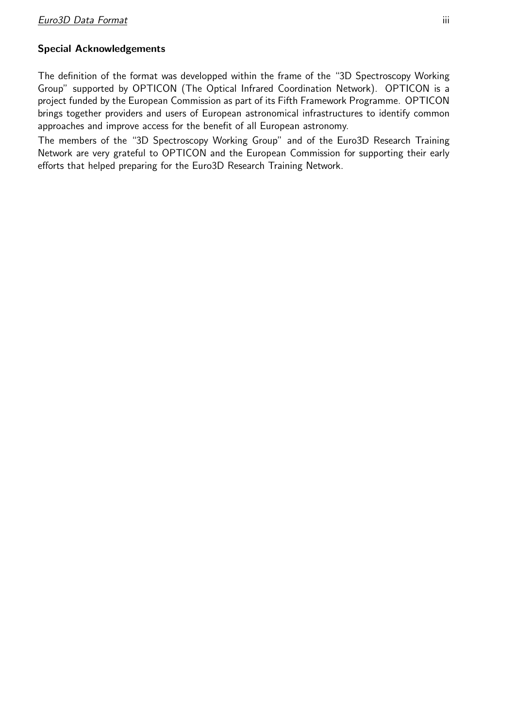#### Special Acknowledgements

The definition of the format was developped within the frame of the "3D Spectroscopy Working Group" supported by OPTICON (The Optical Infrared Coordination Network). OPTICON is a project funded by the European Commission as part of its Fifth Framework Programme. OPTICON brings together providers and users of European astronomical infrastructures to identify common approaches and improve access for the benefit of all European astronomy.

The members of the "3D Spectroscopy Working Group" and of the Euro3D Research Training Network are very grateful to OPTICON and the European Commission for supporting their early efforts that helped preparing for the Euro3D Research Training Network.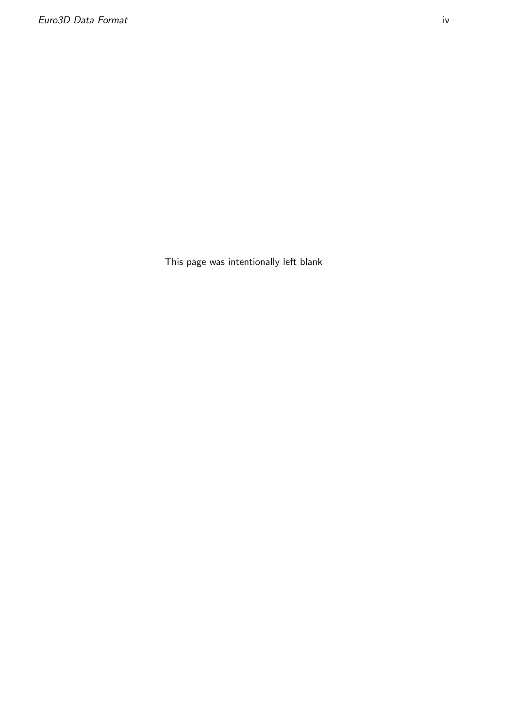This page was intentionally left blank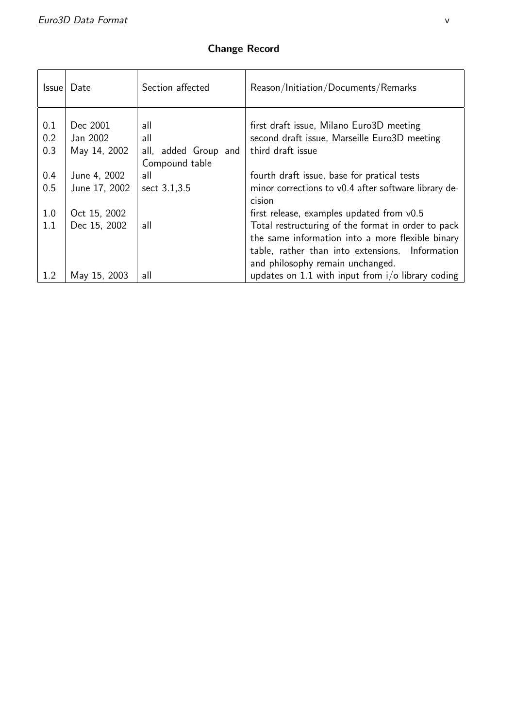| <b>Issue</b>      | Date                                 | Section affected                                     | Reason/Initiation/Documents/Remarks                                                                                                                           |
|-------------------|--------------------------------------|------------------------------------------------------|---------------------------------------------------------------------------------------------------------------------------------------------------------------|
| 0.1<br>0.2<br>0.3 | Dec 2001<br>Jan 2002<br>May 14, 2002 | all<br>all<br>all, added Group and<br>Compound table | first draft issue, Milano Euro3D meeting<br>second draft issue, Marseille Euro3D meeting<br>third draft issue                                                 |
| 0.4<br>0.5        | June 4, 2002<br>June 17, 2002        | all<br>sect 3.1,3.5                                  | fourth draft issue, base for pratical tests<br>minor corrections to v0.4 after software library de-                                                           |
| 1.0<br>1.1        | Oct 15, 2002<br>Dec 15, 2002         | all                                                  | cision<br>first release, examples updated from v0.5<br>Total restructuring of the format in order to pack<br>the same information into a more flexible binary |
| 1.2               | May 15, 2003                         | all                                                  | table, rather than into extensions. Information<br>and philosophy remain unchanged.<br>updates on 1.1 with input from $i$ /o library coding                   |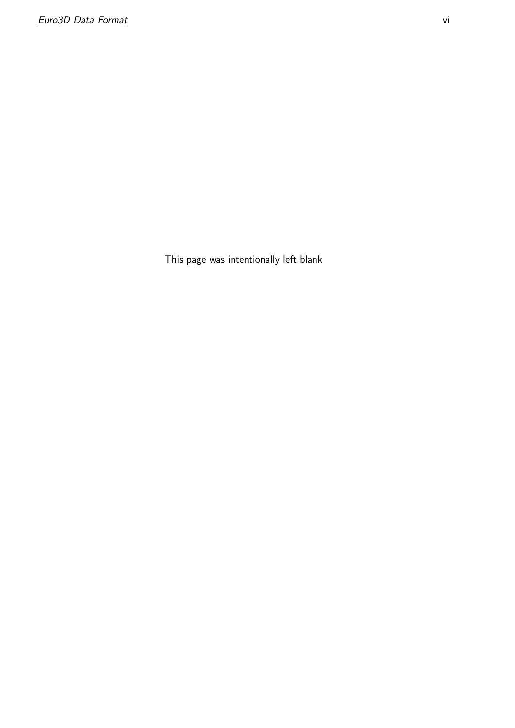This page was intentionally left blank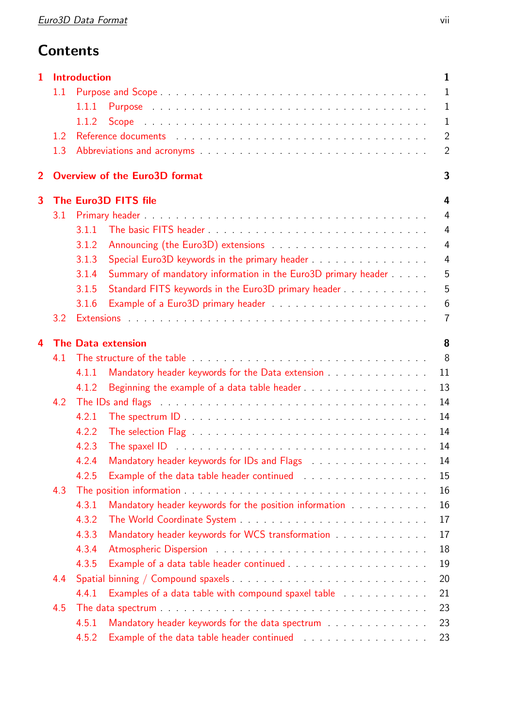# **Contents**

| $\mathbf{1}$   |     | <b>Introduction</b> |                                                                                                                                                                                                                                      |  |  | $\mathbf{1}$   |
|----------------|-----|---------------------|--------------------------------------------------------------------------------------------------------------------------------------------------------------------------------------------------------------------------------------|--|--|----------------|
|                | 1.1 |                     |                                                                                                                                                                                                                                      |  |  | $\mathbf{1}$   |
|                |     | 1.1.1               | Purpose received and a series of the contract of the contract of the contract of the contract of the contract of the contract of the contract of the contract of the contract of the contract of the contract of the contract        |  |  | $\mathbf{1}$   |
|                |     | 1.1.2               | Scope distribution and a state of the state of the state of the state of the state of the state of the state of the state of the state of the state of the state of the state of the state of the state of the state of the st       |  |  | $\mathbf{1}$   |
|                | 1.2 |                     |                                                                                                                                                                                                                                      |  |  | $\overline{2}$ |
|                | 1.3 |                     |                                                                                                                                                                                                                                      |  |  | $\overline{2}$ |
| $\overline{2}$ |     |                     | <b>Overview of the Euro3D format</b>                                                                                                                                                                                                 |  |  | 3              |
| 3              |     |                     | The Euro3D FITS file                                                                                                                                                                                                                 |  |  | 4              |
|                | 3.1 |                     |                                                                                                                                                                                                                                      |  |  | 4              |
|                |     | 3.1.1               |                                                                                                                                                                                                                                      |  |  | $\overline{4}$ |
|                |     | 3.1.2               | Announcing (the Euro3D) extensions Announcing (the Euro3D) extensions Announcing Announcing Announcing Announcing Announcing Announcing Announcing Announcing Announcing Announcing Announcing Announcing Announcing Announcin       |  |  | $\overline{4}$ |
|                |     | 3.1.3               | Special Euro3D keywords in the primary header                                                                                                                                                                                        |  |  | $\overline{4}$ |
|                |     | 3.1.4               | Summary of mandatory information in the Euro3D primary header                                                                                                                                                                        |  |  | 5              |
|                |     | 3.1.5               | Standard FITS keywords in the Euro3D primary header                                                                                                                                                                                  |  |  | 5              |
|                |     | 3.1.6               |                                                                                                                                                                                                                                      |  |  | 6              |
|                | 3.2 |                     |                                                                                                                                                                                                                                      |  |  | $\overline{7}$ |
| 4              |     |                     | <b>The Data extension</b>                                                                                                                                                                                                            |  |  | 8              |
|                | 4.1 |                     |                                                                                                                                                                                                                                      |  |  | 8              |
|                |     | 4.1.1               | Mandatory header keywords for the Data extension                                                                                                                                                                                     |  |  | 11             |
|                |     | 4.1.2               | Beginning the example of a data table header.                                                                                                                                                                                        |  |  | 13             |
|                | 4.2 |                     | The IDs and flags entertainment is a series of the intertainment of the IDs and flags                                                                                                                                                |  |  | 14             |
|                |     | 4.2.1               |                                                                                                                                                                                                                                      |  |  | 14             |
|                |     | 4.2.2               |                                                                                                                                                                                                                                      |  |  | 14             |
|                |     | 4.2.3               | The spaxel ID <b>Entrance International Contract Contract Contract Contract Contract Contract Contract Contract Contract Contract Contract Contract Contract Contract Contract Contract Contract Contract Contract Contract Cont</b> |  |  | 14             |
|                |     | 4.2.4               | Mandatory header keywords for IDs and Flags                                                                                                                                                                                          |  |  | 14             |
|                |     | 4.2.5               | Example of the data table header continued <b>Example of the data table header continued</b>                                                                                                                                         |  |  | 15             |
|                | 4.3 |                     |                                                                                                                                                                                                                                      |  |  | 16             |
|                |     | 4.3.1               | Mandatory header keywords for the position information with the state of the Mandatory header keywords for the position information                                                                                                  |  |  | 16             |
|                |     | 4.3.2               |                                                                                                                                                                                                                                      |  |  | 17             |
|                |     | 4.3.3               | Mandatory header keywords for WCS transformation Alberts Alberts Alberts Alberts Alberts Alberts Alberts Alber                                                                                                                       |  |  | 17             |
|                |     | 4.3.4               |                                                                                                                                                                                                                                      |  |  | 18             |
|                |     | 4.3.5               |                                                                                                                                                                                                                                      |  |  | 19             |
|                | 4.4 |                     |                                                                                                                                                                                                                                      |  |  | 20             |
|                |     | 4.4.1               | Examples of a data table with compound spaxel table <b>Examples</b> of a data table                                                                                                                                                  |  |  | 21             |
|                | 4.5 |                     |                                                                                                                                                                                                                                      |  |  | 23             |
|                |     | 4.5.1               | Mandatory header keywords for the data spectrum                                                                                                                                                                                      |  |  | 23             |
|                |     | 4.5.2               | Example of the data table header continued Alberts Alberts Alberts and Theorem and Theorem and Theorem and The                                                                                                                       |  |  | 23             |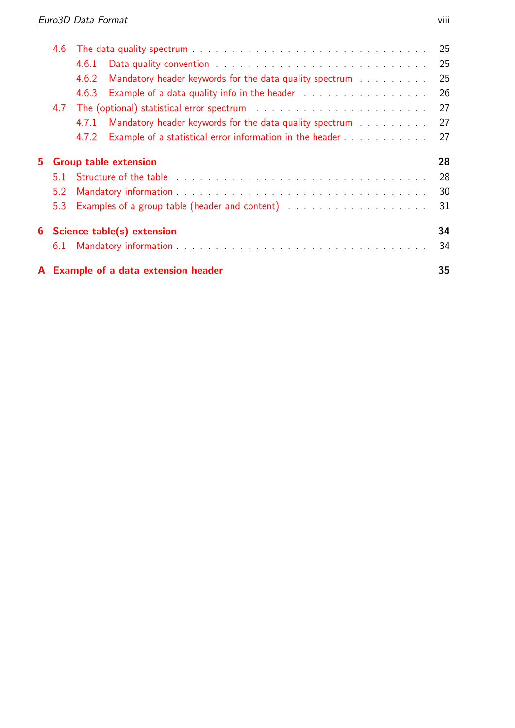## **Euro3D Data Format** viii

|   | 4.6 |                                                                                                                                                                                                                                | 25 |
|---|-----|--------------------------------------------------------------------------------------------------------------------------------------------------------------------------------------------------------------------------------|----|
|   |     | 4.6.1                                                                                                                                                                                                                          | 25 |
|   |     | 4.6.2<br>Mandatory header keywords for the data quality spectrum entitled in the set of the Mandatory header                                                                                                                   | 25 |
|   |     | Example of a data quality info in the header<br>4.6.3                                                                                                                                                                          | 26 |
|   | 4.7 |                                                                                                                                                                                                                                | 27 |
|   |     | Mandatory header keywords for the data quality spectrum<br>4.7.1                                                                                                                                                               | 27 |
|   |     | Example of a statistical error information in the header<br>4.7.2                                                                                                                                                              | 27 |
| 5 |     | <b>Group table extension</b>                                                                                                                                                                                                   | 28 |
|   | 5.1 |                                                                                                                                                                                                                                | 28 |
|   | 5.2 |                                                                                                                                                                                                                                | 30 |
|   | 5.3 | Examples of a group table (header and content) results and subset of the set of the set of the set of the set of the set of the set of the set of the set of the set of the set of the set of the set of the set of the set of | 31 |
| 6 |     | Science table(s) extension                                                                                                                                                                                                     | 34 |
|   | 6.1 |                                                                                                                                                                                                                                | 34 |
|   |     | A Example of a data extension header                                                                                                                                                                                           | 35 |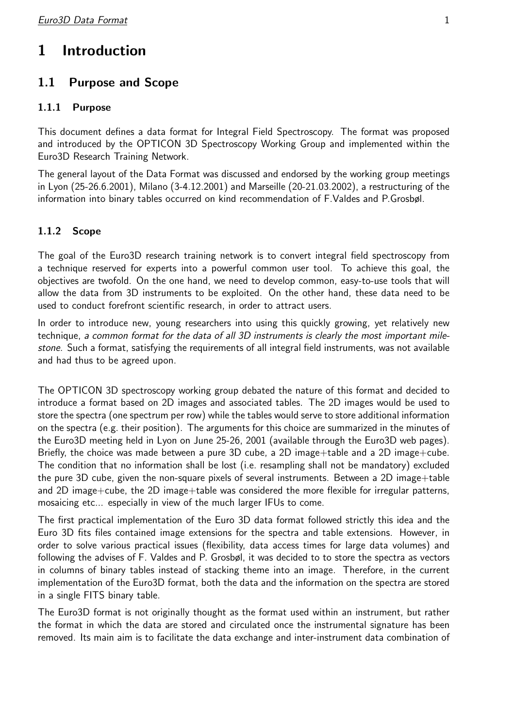# <span id="page-8-0"></span>1 Introduction

### <span id="page-8-1"></span>1.1 Purpose and Scope

#### <span id="page-8-2"></span>1.1.1 Purpose

This document defines a data format for Integral Field Spectroscopy. The format was proposed and introduced by the OPTICON 3D Spectroscopy Working Group and implemented within the Euro3D Research Training Network.

The general layout of the Data Format was discussed and endorsed by the working group meetings in Lyon (25-26.6.2001), Milano (3-4.12.2001) and Marseille (20-21.03.2002), a restructuring of the information into binary tables occurred on kind recommendation of F.Valdes and P.Grosbøl.

#### <span id="page-8-3"></span>1.1.2 Scope

The goal of the Euro3D research training network is to convert integral field spectroscopy from a technique reserved for experts into a powerful common user tool. To achieve this goal, the objectives are twofold. On the one hand, we need to develop common, easy-to-use tools that will allow the data from 3D instruments to be exploited. On the other hand, these data need to be used to conduct forefront scientific research, in order to attract users.

In order to introduce new, young researchers into using this quickly growing, yet relatively new technique, a common format for the data of all 3D instruments is clearly the most important milestone. Such a format, satisfying the requirements of all integral field instruments, was not available and had thus to be agreed upon.

The OPTICON 3D spectroscopy working group debated the nature of this format and decided to introduce a format based on 2D images and associated tables. The 2D images would be used to store the spectra (one spectrum per row) while the tables would serve to store additional information on the spectra (e.g. their position). The arguments for this choice are summarized in the minutes of the Euro3D meeting held in Lyon on June 25-26, 2001 (available through the Euro3D web pages). Briefly, the choice was made between a pure 3D cube, a 2D image+table and a 2D image+cube. The condition that no information shall be lost (i.e. resampling shall not be mandatory) excluded the pure 3D cube, given the non-square pixels of several instruments. Between a 2D image+table and 2D image+cube, the 2D image+table was considered the more flexible for irregular patterns, mosaicing etc... especially in view of the much larger IFUs to come.

The first practical implementation of the Euro 3D data format followed strictly this idea and the Euro 3D fits files contained image extensions for the spectra and table extensions. However, in order to solve various practical issues (flexibility, data access times for large data volumes) and following the advises of F. Valdes and P. Grosbøl, it was decided to to store the spectra as vectors in columns of binary tables instead of stacking theme into an image. Therefore, in the current implementation of the Euro3D format, both the data and the information on the spectra are stored in a single FITS binary table.

The Euro3D format is not originally thought as the format used within an instrument, but rather the format in which the data are stored and circulated once the instrumental signature has been removed. Its main aim is to facilitate the data exchange and inter-instrument data combination of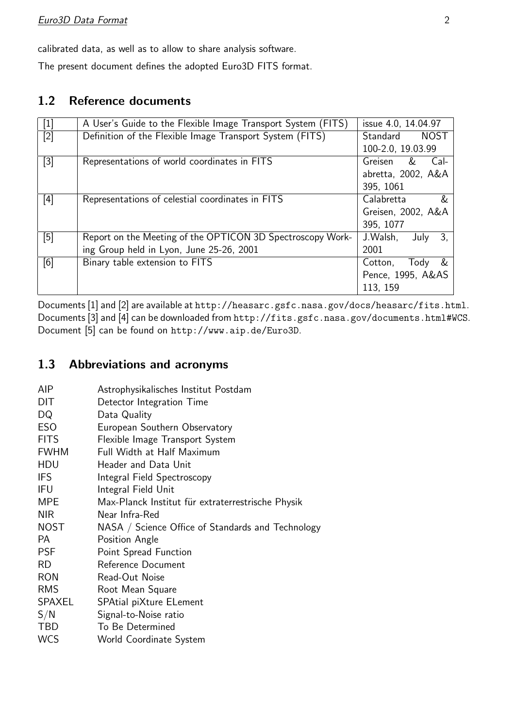#### Euro3D Data Format 2

calibrated data, as well as to allow to share analysis software.

The present document defines the adopted Euro3D FITS format.

## <span id="page-9-0"></span>1.2 Reference documents

| $[1]$ | A User's Guide to the Flexible Image Transport System (FITS) | issue 4.0, 14.04.97     |
|-------|--------------------------------------------------------------|-------------------------|
| $[2]$ | Definition of the Flexible Image Transport System (FITS)     | Standard<br><b>NOST</b> |
|       |                                                              | 100-2.0, 19.03.99       |
| $[3]$ | Representations of world coordinates in FITS                 | Greisen &<br>Cal-       |
|       |                                                              | abretta, 2002, A&A      |
|       |                                                              | 395, 1061               |
| $[4]$ | Representations of celestial coordinates in FITS             | Calabretta<br>&         |
|       |                                                              | Greisen, 2002, A&A      |
|       |                                                              | 395, 1077               |
| $[5]$ | Report on the Meeting of the OPTICON 3D Spectroscopy Work-   | J.Walsh,<br>3.<br>July  |
|       | ing Group held in Lyon, June 25-26, 2001                     | 2001                    |
| [6]   | Binary table extension to FITS                               | &<br>Cotton,<br>Tody    |
|       |                                                              | Pence, 1995, A&AS       |
|       |                                                              | 113, 159                |

Documents [1] and [2] are available at http://heasarc.gsfc.nasa.gov/docs/heasarc/fits.html. Documents [3] and [4] can be downloaded from http://fits.gsfc.nasa.gov/documents.html#WCS. Document [5] can be found on http://www.aip.de/Euro3D.

#### <span id="page-9-1"></span>1.3 Abbreviations and acronyms

| AIP         | Astrophysikalisches Institut Postdam              |
|-------------|---------------------------------------------------|
| DIT         | Detector Integration Time                         |
| DQ          | Data Quality                                      |
| ESO         | European Southern Observatory                     |
| <b>FITS</b> | Flexible Image Transport System                   |
| <b>FWHM</b> | Full Width at Half Maximum                        |
| HDU         | Header and Data Unit                              |
| <b>IFS</b>  | Integral Field Spectroscopy                       |
| IFU         | Integral Field Unit                               |
| <b>MPE</b>  | Max-Planck Institut für extraterrestrische Physik |
| <b>NIR</b>  | Near Infra-Red                                    |
| <b>NOST</b> | NASA / Science Office of Standards and Technology |
| РA          | Position Angle                                    |
| <b>PSF</b>  | Point Spread Function                             |
| <b>RD</b>   | Reference Document                                |
| <b>RON</b>  | Read-Out Noise                                    |
| <b>RMS</b>  | Root Mean Square                                  |
| SPAXEL      | SPAtial piXture ELement                           |
| S/N         | Signal-to-Noise ratio                             |
| <b>TBD</b>  | To Be Determined                                  |
| <b>WCS</b>  | World Coordinate System                           |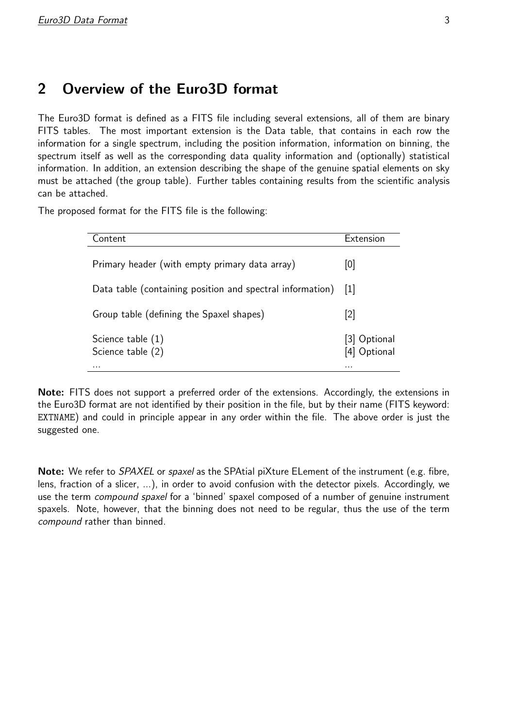# <span id="page-10-0"></span>2 Overview of the Euro3D format

The Euro3D format is defined as a FITS file including several extensions, all of them are binary FITS tables. The most important extension is the Data table, that contains in each row the information for a single spectrum, including the position information, information on binning, the spectrum itself as well as the corresponding data quality information and (optionally) statistical information. In addition, an extension describing the shape of the genuine spatial elements on sky must be attached (the group table). Further tables containing results from the scientific analysis can be attached.

The proposed format for the FITS file is the following:

| Content                                                   | <b>Extension</b>                |
|-----------------------------------------------------------|---------------------------------|
| Primary header (with empty primary data array)            | 0                               |
| Data table (containing position and spectral information) | 1                               |
| Group table (defining the Spaxel shapes)                  | $\lceil 2 \rceil$               |
| Science table (1)<br>Science table (2)<br>.               | 3 Optional<br>[4] Optional<br>. |

Note: FITS does not support a preferred order of the extensions. Accordingly, the extensions in the Euro3D format are not identified by their position in the file, but by their name (FITS keyword: EXTNAME) and could in principle appear in any order within the file. The above order is just the suggested one.

Note: We refer to SPAXEL or spaxel as the SPAtial piXture ELement of the instrument (e.g. fibre, lens, fraction of a slicer, ...), in order to avoid confusion with the detector pixels. Accordingly, we use the term compound spaxel for a 'binned' spaxel composed of a number of genuine instrument spaxels. Note, however, that the binning does not need to be regular, thus the use of the term compound rather than binned.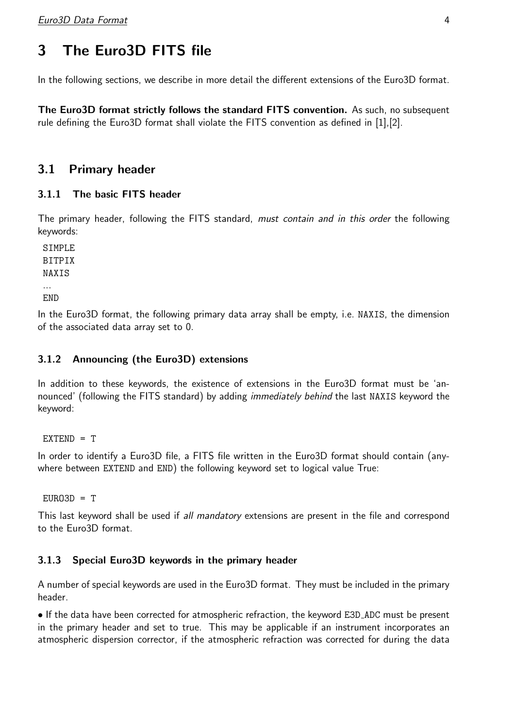# <span id="page-11-0"></span>3 The Euro3D FITS file

In the following sections, we describe in more detail the different extensions of the Euro3D format.

The Euro3D format strictly follows the standard FITS convention. As such, no subsequent rule defining the Euro3D format shall violate the FITS convention as defined in [1],[2].

# <span id="page-11-1"></span>3.1 Primary header

#### <span id="page-11-2"></span>3.1.1 The basic FITS header

The primary header, following the FITS standard, must contain and in this order the following keywords:

SIMPLE BITPIX NAXIS ... END

In the Euro3D format, the following primary data array shall be empty, i.e. NAXIS, the dimension of the associated data array set to 0.

#### <span id="page-11-3"></span>3.1.2 Announcing (the Euro3D) extensions

In addition to these keywords, the existence of extensions in the Euro3D format must be 'announced' (following the FITS standard) by adding *immediately behind* the last NAXIS keyword the keyword:

 $EXTEND = T$ 

In order to identify a Euro3D file, a FITS file written in the Euro3D format should contain (anywhere between EXTEND and END) the following keyword set to logical value True:

 $EURO3D = T$ 

This last keyword shall be used if all mandatory extensions are present in the file and correspond to the Euro3D format.

#### <span id="page-11-4"></span>3.1.3 Special Euro3D keywords in the primary header

A number of special keywords are used in the Euro3D format. They must be included in the primary header.

• If the data have been corrected for atmospheric refraction, the keyword E3D ADC must be present in the primary header and set to true. This may be applicable if an instrument incorporates an atmospheric dispersion corrector, if the atmospheric refraction was corrected for during the data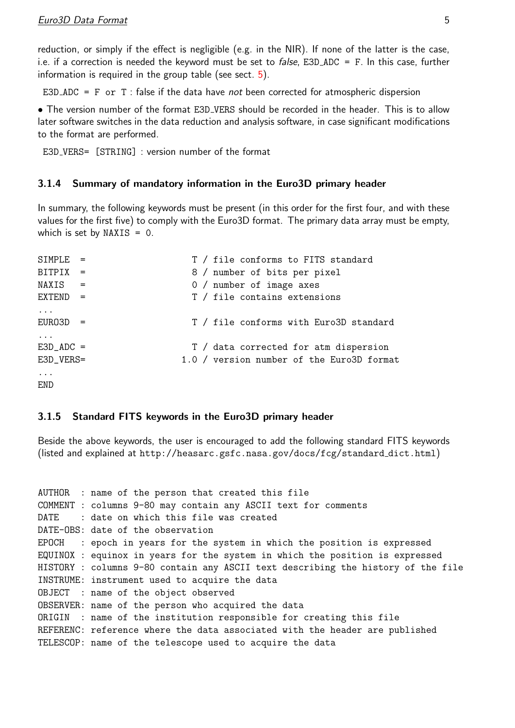reduction, or simply if the effect is negligible (e.g. in the NIR). If none of the latter is the case, i.e. if a correction is needed the keyword must be set to  $false$ ,  $E3D$  ADC = F. In this case, further information is required in the group table (see sect. [5\)](#page-35-0).

E3D ADC = F or T : false if the data have *not* been corrected for atmospheric dispersion

• The version number of the format E3D VERS should be recorded in the header. This is to allow later software switches in the data reduction and analysis software, in case significant modifications to the format are performed.

E3D VERS= [STRING] : version number of the format

#### <span id="page-12-0"></span>3.1.4 Summary of mandatory information in the Euro3D primary header

In summary, the following keywords must be present (in this order for the first four, and with these values for the first five) to comply with the Euro3D format. The primary data array must be empty, which is set by  $NAXIS = 0$ .

| SIMPLE                                  |          |  | T / file conforms to FITS standard                                                 |
|-----------------------------------------|----------|--|------------------------------------------------------------------------------------|
| BITPIX                                  | $=$      |  | 8 / number of bits per pixel                                                       |
| NAXIS                                   | $\equiv$ |  | 0 / number of image axes                                                           |
| $EXTEND =$                              |          |  | T / file contains extensions                                                       |
| $\ddotsc$<br>$EURO3D =$                 |          |  | T / file conforms with Euro3D standard                                             |
| $\ddotsc$<br>$E3D$ $ADC =$<br>E3D_VERS= |          |  | T / data corrected for atm dispersion<br>1.0 / version number of the Euro3D format |
| $\ddotsc$<br><b>END</b>                 |          |  |                                                                                    |

#### <span id="page-12-1"></span>3.1.5 Standard FITS keywords in the Euro3D primary header

Beside the above keywords, the user is encouraged to add the following standard FITS keywords (listed and explained at http://heasarc.gsfc.nasa.gov/docs/fcg/standard dict.html)

```
AUTHOR : name of the person that created this file
COMMENT : columns 9-80 may contain any ASCII text for comments
DATE : date on which this file was created
DATE-OBS: date of the observation
EPOCH : epoch in years for the system in which the position is expressed
EQUINOX : equinox in years for the system in which the position is expressed
HISTORY : columns 9-80 contain any ASCII text describing the history of the file
INSTRUME: instrument used to acquire the data
OBJECT : name of the object observed
OBSERVER: name of the person who acquired the data
ORIGIN : name of the institution responsible for creating this file
REFERENC: reference where the data associated with the header are published
TELESCOP: name of the telescope used to acquire the data
```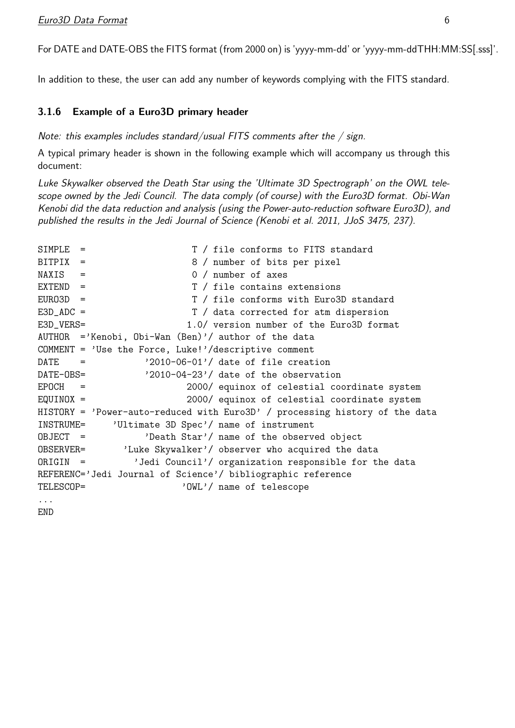For DATE and DATE-OBS the FITS format (from 2000 on) is 'yyyy-mm-dd' or 'yyyy-mm-ddTHH:MM:SS[.sss]'.

In addition to these, the user can add any number of keywords complying with the FITS standard.

#### <span id="page-13-0"></span>3.1.6 Example of a Euro3D primary header

Note: this examples includes standard/usual FITS comments after the  $/$  sign.

A typical primary header is shown in the following example which will accompany us through this document:

Luke Skywalker observed the Death Star using the 'Ultimate 3D Spectrograph' on the OWL telescope owned by the Jedi Council. The data comply (of course) with the Euro3D format. Obi-Wan Kenobi did the data reduction and analysis (using the Power-auto-reduction software Euro3D), and published the results in the Jedi Journal of Science (Kenobi et al. 2011, JJoS 3475, 237).

```
SIMPLE = T / file conforms to FITS standard
BITPIX = 8 / number of bits per pixel
NAXIS = 0 / number of axesEXTEND = T / file contains extensions
EURO3D = T / file conforms with Euro3D standard
E3D_ADC = T / data corrected for atm dispersion
E3D_VERS= 1.0/ version number of the Euro3D format
AUTHOR ='Kenobi, Obi-Wan (Ben)'/ author of the data
COMMENT = 'Use the Force, Luke!'/descriptive comment
\text{DATE} = \text{2010-06-01}'/ date of file creation
DATE-OBS= '2010-04-23'/ date of the observation
EPOCH = 2000/ equinox of celestial coordinate system
EQUINOX = 2000/ equinox of celestial coordinate system
HISTORY = 'Power-auto-reduced with Euro3D' / processing history of the data
INSTRUME= 'Ultimate 3D Spec'/ name of instrument
OBJECT = 'Death Star'/ name of the observed object
OBSERVER= 'Luke Skywalker'/ observer who acquired the data
ORIGIN = 'Jedi Council'/ organization responsible for the data
REFERENC='Jedi Journal of Science'/ bibliographic reference
TELESCOP= 'OWL'/ name of telescope
...
```
END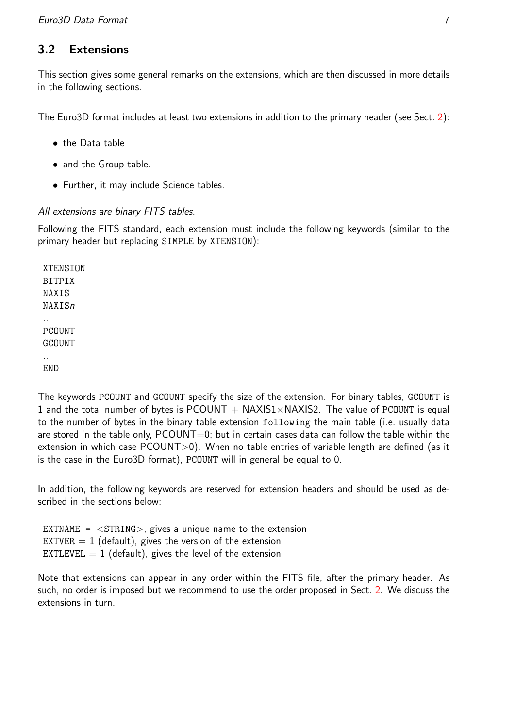### <span id="page-14-0"></span>3.2 Extensions

This section gives some general remarks on the extensions, which are then discussed in more details in the following sections.

The Euro3D format includes at least two extensions in addition to the primary header (see Sect. [2\)](#page-10-0):

- the Data table
- and the Group table.
- Further, it may include Science tables.

All extensions are binary FITS tables.

Following the FITS standard, each extension must include the following keywords (similar to the primary header but replacing SIMPLE by XTENSION):

XTENSION BITPIX NAXIS NAXISn ... PCOUNT GCOUNT ... END

The keywords PCOUNT and GCOUNT specify the size of the extension. For binary tables, GCOUNT is 1 and the total number of bytes is PCOUNT  $+$  NAXIS1 $\times$ NAXIS2. The value of PCOUNT is equal to the number of bytes in the binary table extension following the main table (i.e. usually data are stored in the table only,  $PCOUNT=0$ ; but in certain cases data can follow the table within the extension in which case PCOUNT>0). When no table entries of variable length are defined (as it is the case in the Euro3D format), PCOUNT will in general be equal to 0.

In addition, the following keywords are reserved for extension headers and should be used as described in the sections below:

EXTNAME =  $\langle$ STRING $\rangle$ , gives a unique name to the extension EXTVER  $= 1$  (default), gives the version of the extension EXTLEVEL  $= 1$  (default), gives the level of the extension

Note that extensions can appear in any order within the FITS file, after the primary header. As such, no order is imposed but we recommend to use the order proposed in Sect. [2.](#page-10-0) We discuss the extensions in turn.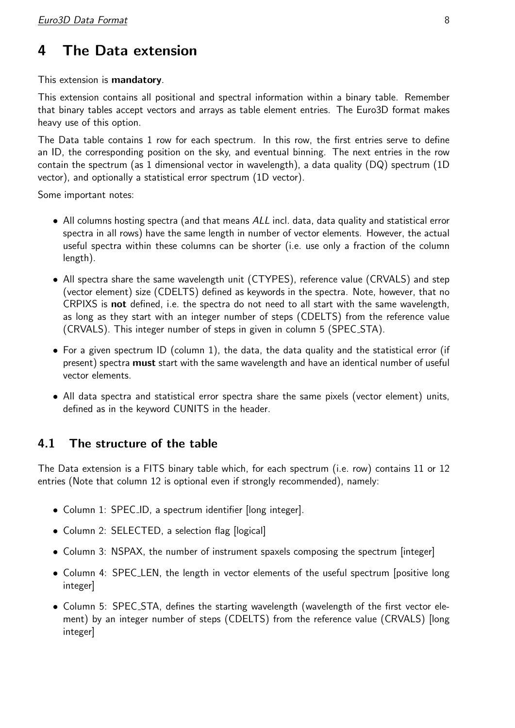# <span id="page-15-0"></span>4 The Data extension

This extension is mandatory.

This extension contains all positional and spectral information within a binary table. Remember that binary tables accept vectors and arrays as table element entries. The Euro3D format makes heavy use of this option.

The Data table contains 1 row for each spectrum. In this row, the first entries serve to define an ID, the corresponding position on the sky, and eventual binning. The next entries in the row contain the spectrum (as 1 dimensional vector in wavelength), a data quality (DQ) spectrum (1D vector), and optionally a statistical error spectrum (1D vector).

Some important notes:

- All columns hosting spectra (and that means ALL incl. data, data quality and statistical error spectra in all rows) have the same length in number of vector elements. However, the actual useful spectra within these columns can be shorter (i.e. use only a fraction of the column length).
- All spectra share the same wavelength unit (CTYPES), reference value (CRVALS) and step (vector element) size (CDELTS) defined as keywords in the spectra. Note, however, that no CRPIXS is not defined, i.e. the spectra do not need to all start with the same wavelength, as long as they start with an integer number of steps (CDELTS) from the reference value (CRVALS). This integer number of steps in given in column 5 (SPEC STA).
- For a given spectrum ID (column 1), the data, the data quality and the statistical error (if present) spectra must start with the same wavelength and have an identical number of useful vector elements.
- All data spectra and statistical error spectra share the same pixels (vector element) units, defined as in the keyword CUNITS in the header.

## <span id="page-15-1"></span>4.1 The structure of the table

The Data extension is a FITS binary table which, for each spectrum (i.e. row) contains 11 or 12 entries (Note that column 12 is optional even if strongly recommended), namely:

- Column 1: SPEC<sub>-ID</sub>, a spectrum identifier [long integer].
- Column 2: SELECTED, a selection flag [logical]
- Column 3: NSPAX, the number of instrument spaxels composing the spectrum [integer]
- Column 4: SPEC LEN, the length in vector elements of the useful spectrum [positive long integer]
- Column 5: SPEC STA, defines the starting wavelength (wavelength of the first vector element) by an integer number of steps (CDELTS) from the reference value (CRVALS) [long integer]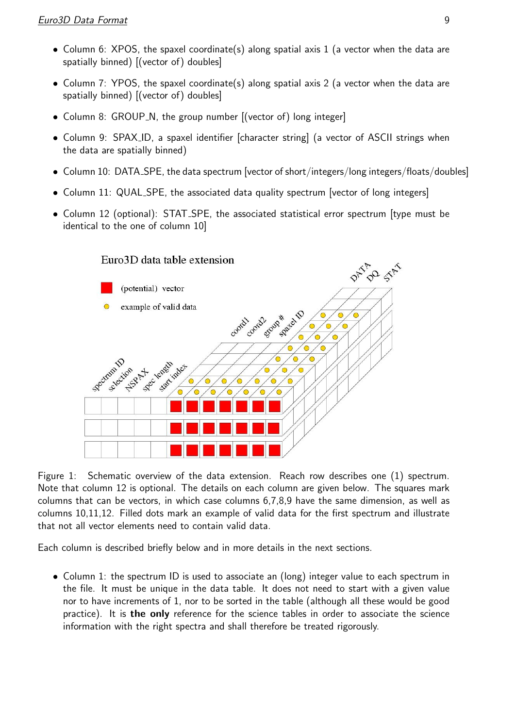- Column 6: XPOS, the spaxel coordinate(s) along spatial axis 1 (a vector when the data are spatially binned) [(vector of) doubles]
- Column 7: YPOS, the spaxel coordinate(s) along spatial axis 2 (a vector when the data are spatially binned) [(vector of) doubles]
- Column 8: GROUP\_N, the group number  $[$ (vector of) long integer
- Column 9: SPAX ID, a spaxel identifier [character string] (a vector of ASCII strings when the data are spatially binned)
- Column 10: DATA\_SPE, the data spectrum [vector of short/integers/long integers/floats/doubles]
- Column 11: QUAL SPE, the associated data quality spectrum [vector of long integers]
- Column 12 (optional): STAT SPE, the associated statistical error spectrum [type must be identical to the one of column 10]



Figure 1: Schematic overview of the data extension. Reach row describes one (1) spectrum. Note that column 12 is optional. The details on each column are given below. The squares mark columns that can be vectors, in which case columns 6,7,8,9 have the same dimension, as well as columns 10,11,12. Filled dots mark an example of valid data for the first spectrum and illustrate that not all vector elements need to contain valid data.

Each column is described briefly below and in more details in the next sections.

• Column 1: the spectrum ID is used to associate an (long) integer value to each spectrum in the file. It must be unique in the data table. It does not need to start with a given value nor to have increments of 1, nor to be sorted in the table (although all these would be good practice). It is the only reference for the science tables in order to associate the science information with the right spectra and shall therefore be treated rigorously.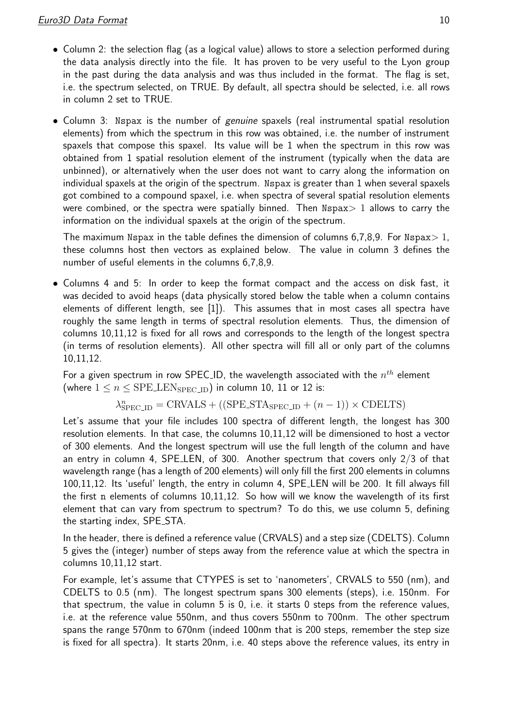- Column 2: the selection flag (as a logical value) allows to store a selection performed during the data analysis directly into the file. It has proven to be very useful to the Lyon group in the past during the data analysis and was thus included in the format. The flag is set, i.e. the spectrum selected, on TRUE. By default, all spectra should be selected, i.e. all rows in column 2 set to TRUE.
- Column 3: Nspax is the number of genuine spaxels (real instrumental spatial resolution elements) from which the spectrum in this row was obtained, i.e. the number of instrument spaxels that compose this spaxel. Its value will be 1 when the spectrum in this row was obtained from 1 spatial resolution element of the instrument (typically when the data are unbinned), or alternatively when the user does not want to carry along the information on individual spaxels at the origin of the spectrum. Nspax is greater than 1 when several spaxels got combined to a compound spaxel, i.e. when spectra of several spatial resolution elements were combined, or the spectra were spatially binned. Then  $N$ spax $> 1$  allows to carry the information on the individual spaxels at the origin of the spectrum.

The maximum Nspax in the table defines the dimension of columns 6,7,8,9. For Nspax  $> 1$ , these columns host then vectors as explained below. The value in column 3 defines the number of useful elements in the columns 6,7,8,9.

• Columns 4 and 5: In order to keep the format compact and the access on disk fast, it was decided to avoid heaps (data physically stored below the table when a column contains elements of different length, see [1]). This assumes that in most cases all spectra have roughly the same length in terms of spectral resolution elements. Thus, the dimension of columns 10,11,12 is fixed for all rows and corresponds to the length of the longest spectra (in terms of resolution elements). All other spectra will fill all or only part of the columns 10,11,12.

For a given spectrum in row <code>SPEC\_ID</code>, the wavelength associated with the  $n^{th}$  element (where  $1 \le n \le$  SPE\_LEN<sub>SPEC\_ID</sub>) in column 10, 11 or 12 is:

 $\lambda_{\text{SPEC\_ID}}^n = \text{CRVALS} + \left( \text{(SPE\_STA}_{\text{SPEC\_ID}} + (n-1) \right) \times \text{CDELTS}$ 

Let's assume that your file includes 100 spectra of different length, the longest has 300 resolution elements. In that case, the columns 10,11,12 will be dimensioned to host a vector of 300 elements. And the longest spectrum will use the full length of the column and have an entry in column 4, SPE LEN, of 300. Another spectrum that covers only 2/3 of that wavelength range (has a length of 200 elements) will only fill the first 200 elements in columns 100,11,12. Its 'useful' length, the entry in column 4, SPE LEN will be 200. It fill always fill the first n elements of columns 10,11,12. So how will we know the wavelength of its first element that can vary from spectrum to spectrum? To do this, we use column 5, defining the starting index, SPE\_STA.

In the header, there is defined a reference value (CRVALS) and a step size (CDELTS). Column 5 gives the (integer) number of steps away from the reference value at which the spectra in columns 10,11,12 start.

For example, let's assume that CTYPES is set to 'nanometers', CRVALS to 550 (nm), and CDELTS to 0.5 (nm). The longest spectrum spans 300 elements (steps), i.e. 150nm. For that spectrum, the value in column 5 is 0, i.e. it starts 0 steps from the reference values, i.e. at the reference value 550nm, and thus covers 550nm to 700nm. The other spectrum spans the range 570nm to 670nm (indeed 100nm that is 200 steps, remember the step size is fixed for all spectra). It starts 20nm, i.e. 40 steps above the reference values, its entry in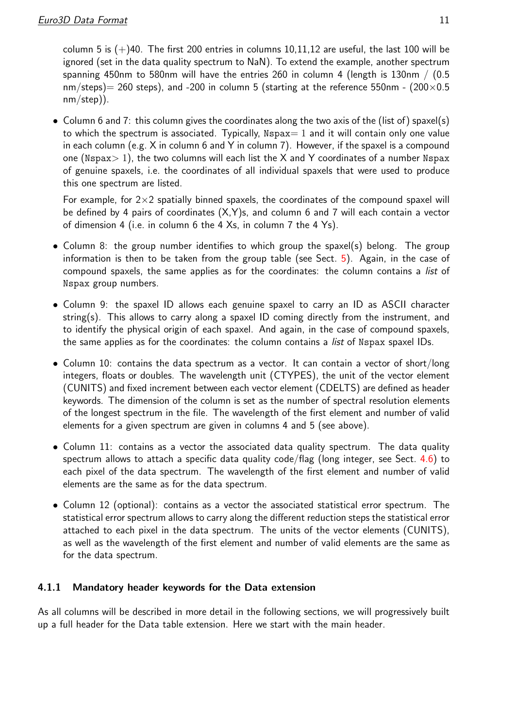column 5 is  $(+)$ 40. The first 200 entries in columns 10,11,12 are useful, the last 100 will be ignored (set in the data quality spectrum to NaN). To extend the example, another spectrum spanning 450nm to 580nm will have the entries 260 in column 4 (length is 130nm / (0.5  $nm/steps) = 260$  steps), and -200 in column 5 (starting at the reference 550nm - (200 $\times$ 0.5) nm/step)).

• Column 6 and 7: this column gives the coordinates along the two axis of the (list of) spaxel(s) to which the spectrum is associated. Typically,  $Nspax= 1$  and it will contain only one value in each column (e.g. X in column 6 and Y in column 7). However, if the spaxel is a compound one (Nspax  $> 1$ ), the two columns will each list the X and Y coordinates of a number Nspax of genuine spaxels, i.e. the coordinates of all individual spaxels that were used to produce this one spectrum are listed.

For example, for  $2\times2$  spatially binned spaxels, the coordinates of the compound spaxel will be defined by 4 pairs of coordinates (X,Y)s, and column 6 and 7 will each contain a vector of dimension 4 (i.e. in column 6 the 4 Xs, in column 7 the 4 Ys).

- Column 8: the group number identifies to which group the spaxel(s) belong. The group information is then to be taken from the group table (see Sect. [5\)](#page-35-0). Again, in the case of compound spaxels, the same applies as for the coordinates: the column contains a list of Nspax group numbers.
- Column 9: the spaxel ID allows each genuine spaxel to carry an ID as ASCII character string(s). This allows to carry along a spaxel ID coming directly from the instrument, and to identify the physical origin of each spaxel. And again, in the case of compound spaxels, the same applies as for the coordinates: the column contains a *list* of Nspax spaxel IDs.
- Column 10: contains the data spectrum as a vector. It can contain a vector of short/long integers, floats or doubles. The wavelength unit (CTYPES), the unit of the vector element (CUNITS) and fixed increment between each vector element (CDELTS) are defined as header keywords. The dimension of the column is set as the number of spectral resolution elements of the longest spectrum in the file. The wavelength of the first element and number of valid elements for a given spectrum are given in columns 4 and 5 (see above).
- Column 11: contains as a vector the associated data quality spectrum. The data quality spectrum allows to attach a specific data quality code/flag (long integer, see Sect. [4.6\)](#page-32-0) to each pixel of the data spectrum. The wavelength of the first element and number of valid elements are the same as for the data spectrum.
- Column 12 (optional): contains as a vector the associated statistical error spectrum. The statistical error spectrum allows to carry along the different reduction steps the statistical error attached to each pixel in the data spectrum. The units of the vector elements (CUNITS), as well as the wavelength of the first element and number of valid elements are the same as for the data spectrum.

#### <span id="page-18-0"></span>4.1.1 Mandatory header keywords for the Data extension

As all columns will be described in more detail in the following sections, we will progressively built up a full header for the Data table extension. Here we start with the main header.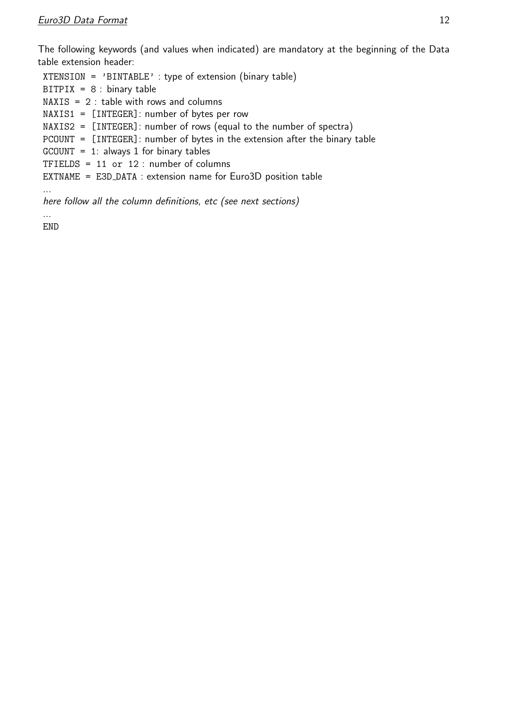The following keywords (and values when indicated) are mandatory at the beginning of the Data table extension header:

 $XTENSION = 'BINTABLE' : type of extension (binary table)$  $BITPLY = 8 : binary table$  $NAXIS = 2$  : table with rows and columns NAXIS1 = [INTEGER]: number of bytes per row NAXIS2 = [INTEGER]: number of rows (equal to the number of spectra) PCOUNT = [INTEGER]: number of bytes in the extension after the binary table  $GCOUNT = 1:$  always 1 for binary tables TFIELDS = 11 or 12 : number of columns EXTNAME = E3D DATA : extension name for Euro3D position table ...

here follow all the column definitions, etc (see next sections)

... END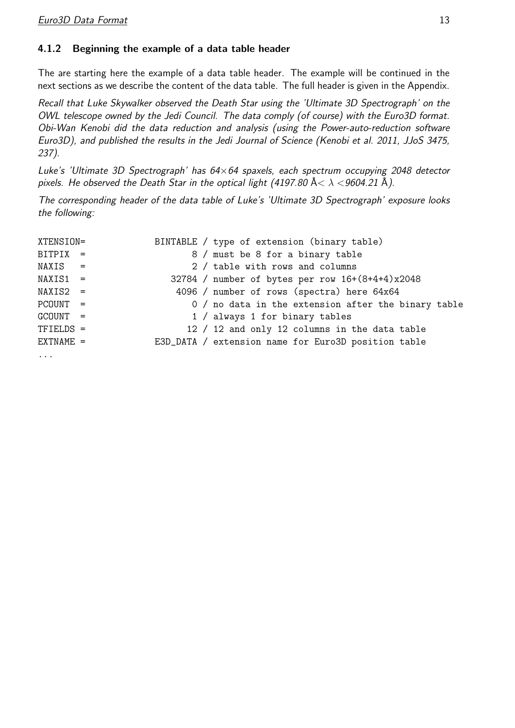#### <span id="page-20-0"></span>4.1.2 Beginning the example of a data table header

The are starting here the example of a data table header. The example will be continued in the next sections as we describe the content of the data table. The full header is given in the Appendix.

Recall that Luke Skywalker observed the Death Star using the 'Ultimate 3D Spectrograph' on the OWL telescope owned by the Jedi Council. The data comply (of course) with the Euro3D format. Obi-Wan Kenobi did the data reduction and analysis (using the Power-auto-reduction software Euro3D), and published the results in the Jedi Journal of Science (Kenobi et al. 2011, JJoS 3475, 237).

Luke's 'Ultimate 3D Spectrograph' has 64×64 spaxels, each spectrum occupying 2048 detector pixels. He observed the Death Star in the optical light (4197.80  $\text{\AA} < \lambda <$ 9604.21  $\text{\AA}$ ).

The corresponding header of the data table of Luke's 'Ultimate 3D Spectrograph' exposure looks the following:

| XTENSION=   | BINTABLE / type of extension (binary table)         |
|-------------|-----------------------------------------------------|
| $BITPLY =$  | 8 / must be 8 for a binary table                    |
| $NAXIS =$   | 2 / table with rows and columns                     |
| $NAXIS1 =$  | 32784 / number of bytes per row 16+(8+4+4)x2048     |
| $NAXIS2 =$  | 4096 / number of rows (spectra) here 64x64          |
| $PCOUNT =$  | 0 / no data in the extension after the binary table |
| $GCOUNT =$  | 1 / always 1 for binary tables                      |
| TFIELDS =   | 12 / 12 and only 12 columns in the data table       |
| $EXTNAME =$ | E3D_DATA / extension name for Euro3D position table |
| $\cdots$    |                                                     |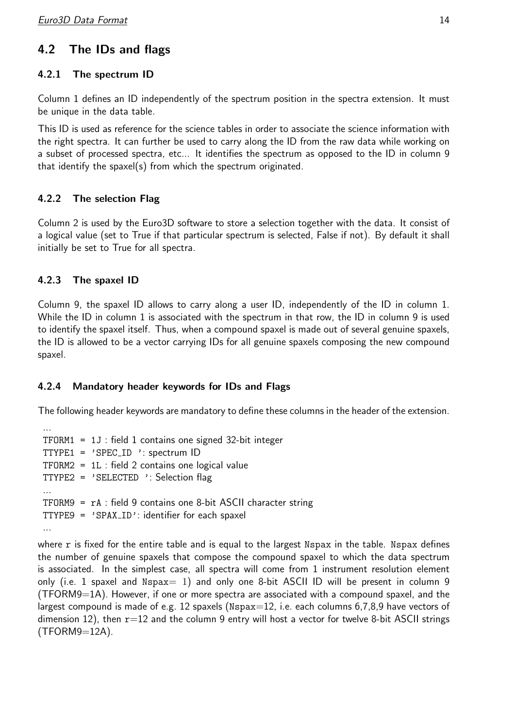# <span id="page-21-0"></span>4.2 The IDs and flags

#### <span id="page-21-1"></span>4.2.1 The spectrum ID

Column 1 defines an ID independently of the spectrum position in the spectra extension. It must be unique in the data table.

This ID is used as reference for the science tables in order to associate the science information with the right spectra. It can further be used to carry along the ID from the raw data while working on a subset of processed spectra, etc... It identifies the spectrum as opposed to the ID in column 9 that identify the spaxel(s) from which the spectrum originated.

#### <span id="page-21-2"></span>4.2.2 The selection Flag

Column 2 is used by the Euro3D software to store a selection together with the data. It consist of a logical value (set to True if that particular spectrum is selected, False if not). By default it shall initially be set to True for all spectra.

#### <span id="page-21-3"></span>4.2.3 The spaxel ID

...

Column 9, the spaxel ID allows to carry along a user ID, independently of the ID in column 1. While the ID in column 1 is associated with the spectrum in that row, the ID in column 9 is used to identify the spaxel itself. Thus, when a compound spaxel is made out of several genuine spaxels, the ID is allowed to be a vector carrying IDs for all genuine spaxels composing the new compound spaxel.

#### <span id="page-21-4"></span>4.2.4 Mandatory header keywords for IDs and Flags

The following header keywords are mandatory to define these columns in the header of the extension.

... TFORM1 =  $1J$ : field 1 contains one signed 32-bit integer TTYPE1 = 'SPEC ID ': spectrum ID TFORM2 = 1L : field 2 contains one logical value TTYPE2 = 'SELECTED ': Selection flag ... TFORM9 = rA : field 9 contains one 8-bit ASCII character string TTYPE9 =  $'SPAXID':$  identifier for each spaxel

where r is fixed for the entire table and is equal to the largest Nspax in the table. Nspax defines the number of genuine spaxels that compose the compound spaxel to which the data spectrum is associated. In the simplest case, all spectra will come from 1 instrument resolution element only (i.e. 1 spaxel and  $N$ spax = 1) and only one 8-bit ASCII ID will be present in column 9 (TFORM9=1A). However, if one or more spectra are associated with a compound spaxel, and the largest compound is made of e.g. 12 spaxels (Nspax=12, i.e. each columns 6,7,8,9 have vectors of dimension 12), then  $r=12$  and the column 9 entry will host a vector for twelve 8-bit ASCII strings  $(TFORM9=12A)$ .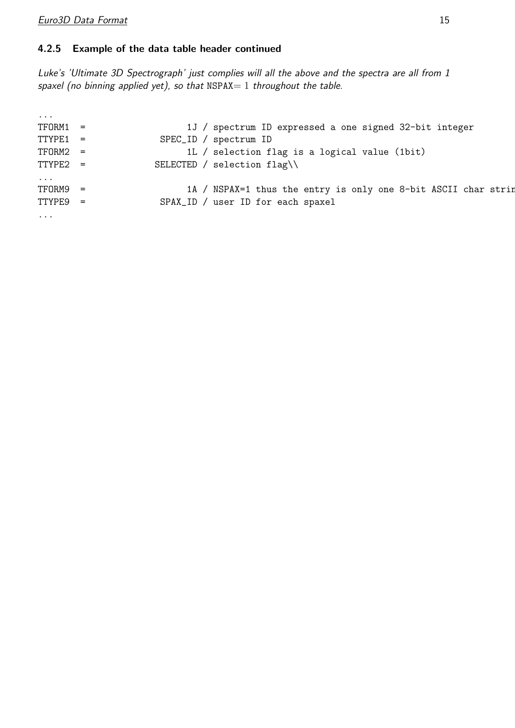#### <span id="page-22-0"></span>4.2.5 Example of the data table header continued

Luke's 'Ultimate 3D Spectrograph' just complies will all the above and the spectra are all from 1 spaxel (no binning applied yet), so that  $NSPAX=1$  throughout the table.

| $\cdots$   |                                                                |
|------------|----------------------------------------------------------------|
| $TFORM1 =$ | 1J / spectrum ID expressed a one signed 32-bit integer         |
| TTYPE1 =   | SPEC_ID / spectrum ID                                          |
| $TFORM2 =$ | 1L / selection flag is a logical value (1bit)                  |
| TTYPE2 =   | SELECTED / selection flag\\                                    |
| $\cdots$   |                                                                |
| TFORM9 =   | 1A / NSPAX=1 thus the entry is only one 8-bit ASCII char strin |
| TTYPE9 =   | SPAX_ID / user ID for each spaxel                              |
| $\cdots$   |                                                                |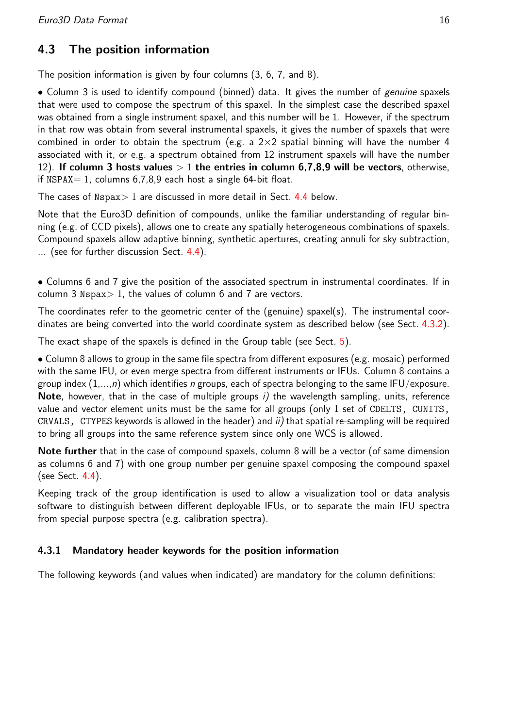# <span id="page-23-0"></span>4.3 The position information

The position information is given by four columns (3, 6, 7, and 8).

• Column 3 is used to identify compound (binned) data. It gives the number of genuine spaxels that were used to compose the spectrum of this spaxel. In the simplest case the described spaxel was obtained from a single instrument spaxel, and this number will be 1. However, if the spectrum in that row was obtain from several instrumental spaxels, it gives the number of spaxels that were combined in order to obtain the spectrum (e.g. a  $2\times 2$  spatial binning will have the number 4 associated with it, or e.g. a spectrum obtained from 12 instrument spaxels will have the number 12). If column 3 hosts values  $> 1$  the entries in column 6,7,8,9 will be vectors, otherwise, if  $NSPAX = 1$ , columns 6,7,8,9 each host a single 64-bit float.

The cases of  $N$ spax $> 1$  are discussed in more detail in Sect. [4.4](#page-27-0) below.

Note that the Euro3D definition of compounds, unlike the familiar understanding of regular binning (e.g. of CCD pixels), allows one to create any spatially heterogeneous combinations of spaxels. Compound spaxels allow adaptive binning, synthetic apertures, creating annuli for sky subtraction, ... (see for further discussion Sect. [4.4\)](#page-27-0).

• Columns 6 and 7 give the position of the associated spectrum in instrumental coordinates. If in column 3  $N$ spax $> 1$ , the values of column 6 and 7 are vectors.

The coordinates refer to the geometric center of the (genuine) spaxel(s). The instrumental coordinates are being converted into the world coordinate system as described below (see Sect. [4.3.2\)](#page-24-0).

The exact shape of the spaxels is defined in the Group table (see Sect. [5\)](#page-35-0).

• Column 8 allows to group in the same file spectra from different exposures (e.g. mosaic) performed with the same IFU, or even merge spectra from different instruments or IFUs. Column 8 contains a group index  $(1,...,n)$  which identifies n groups, each of spectra belonging to the same IFU/exposure. Note, however, that in the case of multiple groups  $i$ ) the wavelength sampling, units, reference value and vector element units must be the same for all groups (only 1 set of CDELTS, CUNITS, CRVALS, CTYPES keywords is allowed in the header) and  $ii$ ) that spatial re-sampling will be required to bring all groups into the same reference system since only one WCS is allowed.

Note further that in the case of compound spaxels, column 8 will be a vector (of same dimension as columns 6 and 7) with one group number per genuine spaxel composing the compound spaxel (see Sect. [4.4\)](#page-27-0).

Keeping track of the group identification is used to allow a visualization tool or data analysis software to distinguish between different deployable IFUs, or to separate the main IFU spectra from special purpose spectra (e.g. calibration spectra).

#### <span id="page-23-1"></span>4.3.1 Mandatory header keywords for the position information

The following keywords (and values when indicated) are mandatory for the column definitions: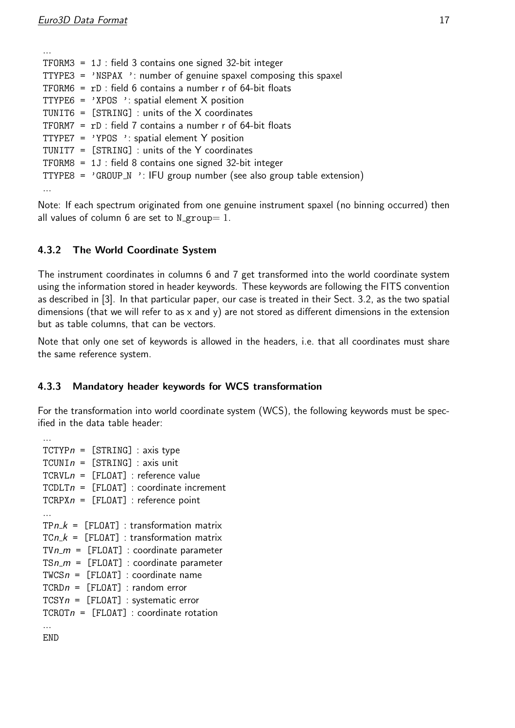|  | $TFORM3 = 1J$ : field 3 contains one signed 32-bit integer             |
|--|------------------------------------------------------------------------|
|  | TTYPE3 = $'$ NSPAX ': number of genuine spaxel composing this spaxel   |
|  | TFORM6 = $rD$ : field 6 contains a number r of 64-bit floats           |
|  | TTYPE6 = $'XPOS$ ': spatial element X position                         |
|  | TUNIT6 = $[STRING]$ : units of the X coordinates                       |
|  | TFORM7 = $rD$ : field 7 contains a number r of 64-bit floats           |
|  | TTYPE7 = $'YPOS$ ': spatial element Y position                         |
|  | TUNIT7 = [STRING] : units of the Y coordinates                         |
|  | TFORM8 = $1J$ : field 8 contains one signed 32-bit integer             |
|  | TTYPE8 = 'GROUP_N ': IFU group number (see also group table extension) |
|  |                                                                        |
|  |                                                                        |

Note: If each spectrum originated from one genuine instrument spaxel (no binning occurred) then all values of column 6 are set to  $N_{\text{group}} = 1$ .

#### <span id="page-24-0"></span>4.3.2 The World Coordinate System

The instrument coordinates in columns 6 and 7 get transformed into the world coordinate system using the information stored in header keywords. These keywords are following the FITS convention as described in [3]. In that particular paper, our case is treated in their Sect. 3.2, as the two spatial dimensions (that we will refer to as  $x$  and  $y$ ) are not stored as different dimensions in the extension but as table columns, that can be vectors.

Note that only one set of keywords is allowed in the headers, i.e. that all coordinates must share the same reference system.

#### <span id="page-24-1"></span>4.3.3 Mandatory header keywords for WCS transformation

For the transformation into world coordinate system (WCS), the following keywords must be specified in the data table header:

```
...
TCTYPn = [STRING] : axis type
TCUNIn = [STRING] : axis unitTCRVLn = [FLOAT] : reference value
TCDLTn = [FLOAT] : coordinate increment
TCRPXn = [FLOAT] : reference point
...
TPn_{-}k = [FLOAT] : transformation matrix
TCn_k = [FLOAT] : transformation matrix
Tvn = [FLOAT] : coordinate parameter
TSn_m = [FLOAT] : coordinate parameter
TWCSn = [FLOAT] : coordinate name
TCRDn = [FLOAT] : random error
TCSYn = [FLOAT] : systematic error
TCROT = [FLOAT] : coordinate rotation
...
END
```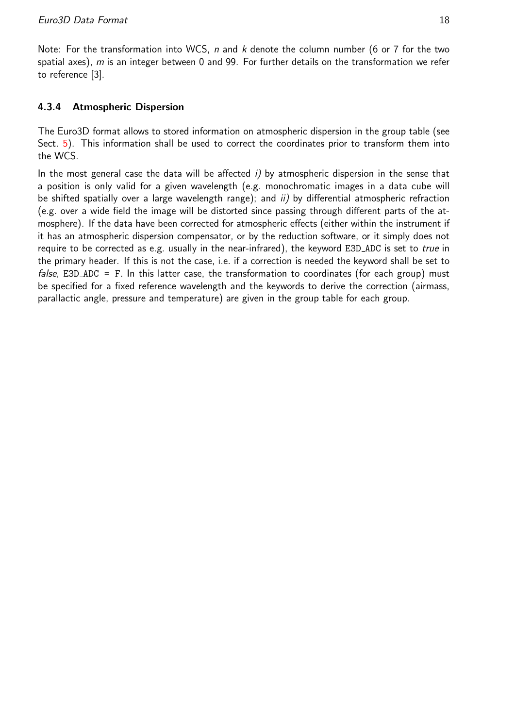Note: For the transformation into WCS,  $n$  and  $k$  denote the column number (6 or 7 for the two spatial axes), m is an integer between 0 and 99. For further details on the transformation we refer to reference [3].

#### <span id="page-25-0"></span>4.3.4 Atmospheric Dispersion

The Euro3D format allows to stored information on atmospheric dispersion in the group table (see Sect. [5\)](#page-35-0). This information shall be used to correct the coordinates prior to transform them into the WCS.

In the most general case the data will be affected  $i$ ) by atmospheric dispersion in the sense that a position is only valid for a given wavelength (e.g. monochromatic images in a data cube will be shifted spatially over a large wavelength range); and *ii*) by differential atmospheric refraction (e.g. over a wide field the image will be distorted since passing through different parts of the atmosphere). If the data have been corrected for atmospheric effects (either within the instrument if it has an atmospheric dispersion compensator, or by the reduction software, or it simply does not require to be corrected as e.g. usually in the near-infrared), the keyword E3D\_ADC is set to true in the primary header. If this is not the case, i.e. if a correction is needed the keyword shall be set to false, E3D\_ADC = F. In this latter case, the transformation to coordinates (for each group) must be specified for a fixed reference wavelength and the keywords to derive the correction (airmass, parallactic angle, pressure and temperature) are given in the group table for each group.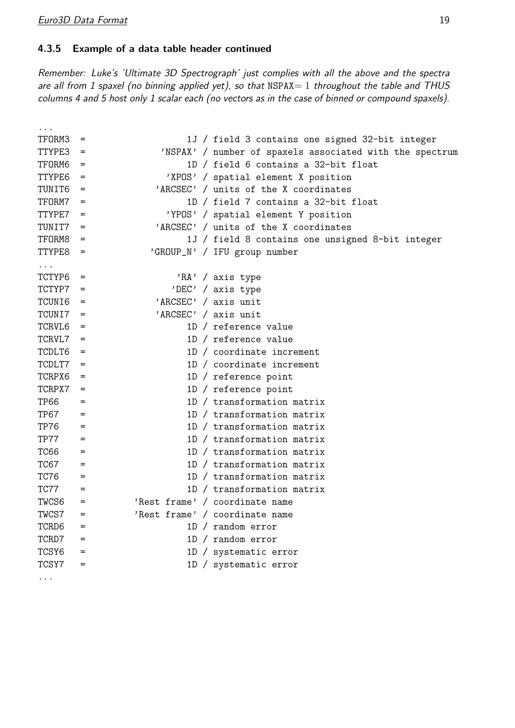#### <span id="page-26-0"></span>4.3.5 Example of a data table header continued

Remember: Luke's 'Ultimate 3D Spectrograph' just complies with all the above and the spectra are all from 1 spaxel (no binning applied yet), so that  $NSPAX=1$  throughout the table and THUS columns 4 and 5 host only 1 scalar each (no vectors as in the case of binned or compound spaxels).

| TFORM3             | $=$               |  | 1J / field 3 contains one signed 32-bit integer          |
|--------------------|-------------------|--|----------------------------------------------------------|
| TTYPE3             | $=$               |  | 'NSPAX' / number of spaxels associated with the spectrum |
| TFORM6             | $=$               |  | 1D / field 6 contains a 32-bit float                     |
| TTYPE6             | $\qquad \qquad =$ |  | 'XPOS' / spatial element X position                      |
| TUNIT6             | $=$               |  | 'ARCSEC' / units of the X coordinates                    |
| TFORM7             | $=$               |  | 1D / field 7 contains a 32-bit float                     |
| TTYPE7             | $=$               |  | 'YPOS' / spatial element Y position                      |
| TUNIT7             | $=$               |  | 'ARCSEC' / units of the X coordinates                    |
| $TFORM8 =$         |                   |  | 1J / field 8 contains one unsigned 8-bit integer         |
| TTYPE8             | $=$               |  | 'GROUP_N' / IFU group number                             |
| $\cdots$<br>TCTYP6 | $=$               |  |                                                          |
| TCTYP7             | $=$               |  | 'RA' / axis type                                         |
| TCUNI6             | $=$               |  | 'DEC' / axis type<br>'ARCSEC' / axis unit                |
| TCUNI7             | $=$               |  | 'ARCSEC' / axis unit                                     |
| TCRVL6             | $\qquad \qquad =$ |  | 1D / reference value                                     |
|                    |                   |  | 1D / reference value                                     |
| TCRVL7 =           |                   |  |                                                          |
| TCDLT6             | $=$               |  | 1D / coordinate increment                                |
| TCDLT7             | $=$               |  | 1D / coordinate increment                                |
| $TCRPX6 =$         |                   |  | 1D / reference point                                     |
| TCRPX7             | $\qquad \qquad =$ |  | 1D / reference point                                     |
| TP66               | $=$               |  | 1D / transformation matrix                               |
| TP67               | $=$               |  | 1D / transformation matrix                               |
| TP76               | $\qquad \qquad =$ |  | 1D / transformation matrix                               |
| TP77               | $=$               |  | 1D / transformation matrix                               |
| TC66               | $=$               |  | 1D / transformation matrix                               |
| TC67               | $=$               |  | 1D / transformation matrix                               |
| TC76               | $=$               |  | 1D / transformation matrix                               |
| TC77               | $=$               |  | 1D / transformation matrix                               |
| TWCS6              | $=$               |  | 'Rest frame' / coordinate name                           |
| TWCS7              | =                 |  | 'Rest frame' / coordinate name                           |
| TCRD6              |                   |  | 1D / random error                                        |
| TCRD7              |                   |  | 1D / random error                                        |
| TCSY6              |                   |  | 1D / systematic error                                    |
| TCSY7              | $=$               |  | 1D / systematic error                                    |
|                    |                   |  |                                                          |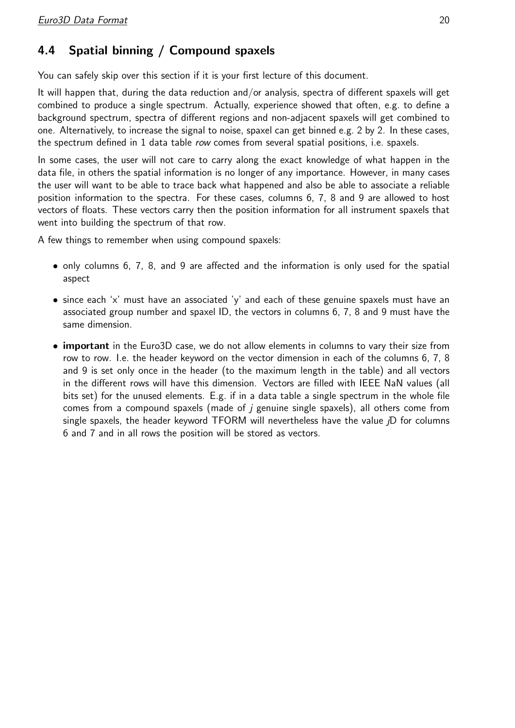## <span id="page-27-0"></span>4.4 Spatial binning / Compound spaxels

You can safely skip over this section if it is your first lecture of this document.

It will happen that, during the data reduction and/or analysis, spectra of different spaxels will get combined to produce a single spectrum. Actually, experience showed that often, e.g. to define a background spectrum, spectra of different regions and non-adjacent spaxels will get combined to one. Alternatively, to increase the signal to noise, spaxel can get binned e.g. 2 by 2. In these cases, the spectrum defined in 1 data table row comes from several spatial positions, i.e. spaxels.

In some cases, the user will not care to carry along the exact knowledge of what happen in the data file, in others the spatial information is no longer of any importance. However, in many cases the user will want to be able to trace back what happened and also be able to associate a reliable position information to the spectra. For these cases, columns 6, 7, 8 and 9 are allowed to host vectors of floats. These vectors carry then the position information for all instrument spaxels that went into building the spectrum of that row.

A few things to remember when using compound spaxels:

- only columns 6, 7, 8, and 9 are affected and the information is only used for the spatial aspect
- since each 'x' must have an associated 'y' and each of these genuine spaxels must have an associated group number and spaxel ID, the vectors in columns 6, 7, 8 and 9 must have the same dimension.
- **important** in the Euro3D case, we do not allow elements in columns to vary their size from row to row. I.e. the header keyword on the vector dimension in each of the columns 6, 7, 8 and 9 is set only once in the header (to the maximum length in the table) and all vectors in the different rows will have this dimension. Vectors are filled with IEEE NaN values (all bits set) for the unused elements. E.g. if in a data table a single spectrum in the whole file comes from a compound spaxels (made of j genuine single spaxels), all others come from single spaxels, the header keyword TFORM will nevertheless have the value jD for columns 6 and 7 and in all rows the position will be stored as vectors.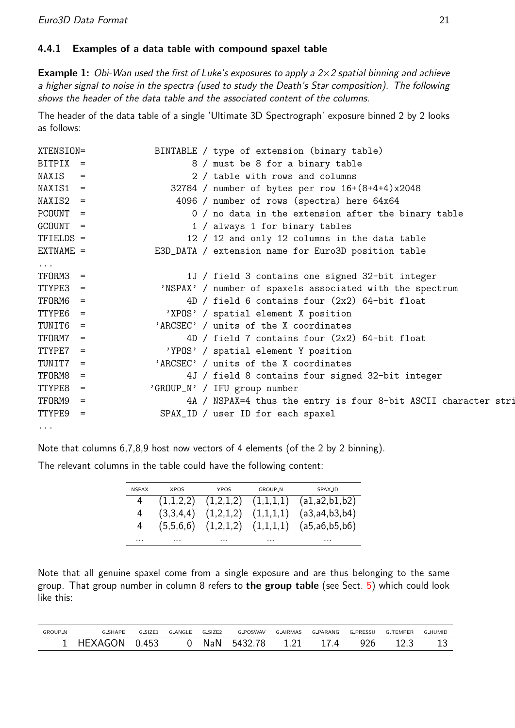#### <span id="page-28-0"></span>4.4.1 Examples of a data table with compound spaxel table

**Example 1:** Obi-Wan used the first of Luke's exposures to apply a  $2 \times 2$  spatial binning and achieve a higher signal to noise in the spectra (used to study the Death's Star composition). The following shows the header of the data table and the associated content of the columns.

The header of the data table of a single 'Ultimate 3D Spectrograph' exposure binned 2 by 2 looks as follows:

| XTENSION=   |                   | BINTABLE / type of extension (binary table)                    |
|-------------|-------------------|----------------------------------------------------------------|
| BITPIX      | $\equiv$          | 8 / must be 8 for a binary table                               |
| NAXIS       | $=$               | 2 / table with rows and columns                                |
| NAXIS1      | $=$               | 32784 / number of bytes per row 16+(8+4+4)x2048                |
| NAXIS2      | $=$               | 4096 / number of rows (spectra) here 64x64                     |
| PCOUNT      | $=$               | 0 / no data in the extension after the binary table            |
| GCOUNT      | $=$               | 1 / always 1 for binary tables                                 |
| TFIELDS =   |                   | 12 / 12 and only 12 columns in the data table                  |
| $EXTNAME =$ |                   | E3D_DATA / extension name for Euro3D position table            |
| .           |                   |                                                                |
| $TFORM3 =$  |                   | 1J / field 3 contains one signed 32-bit integer                |
| TTYPE3      | $=$               | 'NSPAX' / number of spaxels associated with the spectrum       |
| TFORM6      | $=$               | 4D / field 6 contains four (2x2) 64-bit float                  |
| TTYPE6      | $=$               | 'XPOS' / spatial element X position                            |
| TUNIT6      | $=$               | 'ARCSEC' / units of the X coordinates                          |
| TFORM7      | $=$               | 4D / field 7 contains four (2x2) 64-bit float                  |
| TTYPE7      | $=$               | 'YPOS' / spatial element Y position                            |
| TUNIT7      | $=$               | 'ARCSEC' / units of the X coordinates                          |
| TFORM8      | $=$               | 4J / field 8 contains four signed 32-bit integer               |
| TTYPE8      | $=$               | 'GROUP_N' / IFU group number                                   |
| TFORM9      | $\qquad \qquad =$ | 4A / NSPAX=4 thus the entry is four 8-bit ASCII character stri |
| TTYPE9      | $=$               | SPAX_ID / user ID for each spaxel                              |
| $\ddotsc$   |                   |                                                                |

Note that columns 6,7,8,9 host now vectors of 4 elements (of the 2 by 2 binning).

The relevant columns in the table could have the following content:

| <b>NSPAX</b> | <b>XPOS</b> | <b>YPOS</b>                         | <b>GROUP_N</b> | SPAX <sub>-ID</sub> |
|--------------|-------------|-------------------------------------|----------------|---------------------|
|              |             | $(1,1,2,2)$ $(1,2,1,2)$ $(1,1,1,1)$ |                | (a1,a2,b1,b2)       |
| 4            |             | $(3,3,4,4)$ $(1,2,1,2)$ $(1,1,1,1)$ |                | (a3, a4, b3, b4)    |
| 4            |             | $(5,5,6,6)$ $(1,2,1,2)$ $(1,1,1,1)$ |                | (a5, a6, b5, b6)    |
| .            | .           | .                                   | .              | .                   |

Note that all genuine spaxel come from a single exposure and are thus belonging to the same group. That group number in column 8 refers to the group table (see Sect. [5\)](#page-35-0) which could look like this:

| <b>GROUP_N</b> | <b>G_SHAPE</b> | G_SIZE1 | G_ANGLE | $G_SIZE2$  | G_POSWAV | G_AIRMAS | G_PARANG | <b>G_PRESSU</b> | <b>G_TEMPER</b> | G_HUMID |
|----------------|----------------|---------|---------|------------|----------|----------|----------|-----------------|-----------------|---------|
|                | <b>HEXAGON</b> | 0.453   |         | <b>NaN</b> | 5432.78  | 1.21     |          | 926             |                 |         |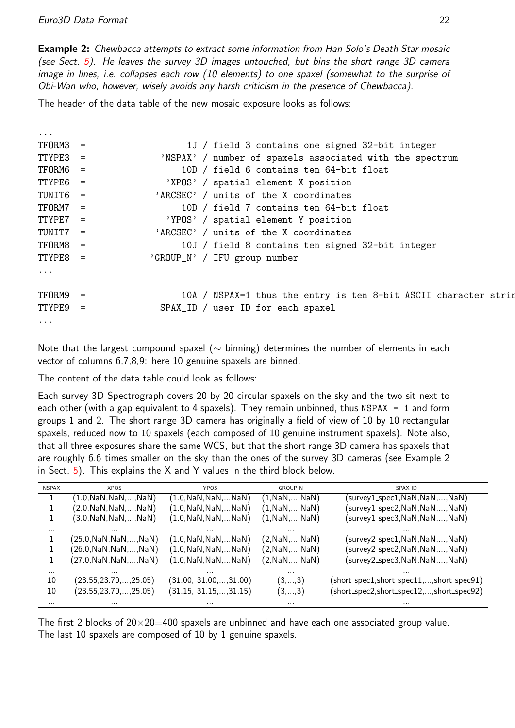#### Euro3D Data Format 22

Example 2: Chewbacca attempts to extract some information from Han Solo's Death Star mosaic (see Sect.  $5$ ). He leaves the survey 3D images untouched, but bins the short range 3D camera image in lines, i.e. collapses each row (10 elements) to one spaxel (somewhat to the surprise of Obi-Wan who, however, wisely avoids any harsh criticism in the presence of Chewbacca).

The header of the data table of the new mosaic exposure looks as follows:

| $\cdot$ $\cdot$ $\cdot$ |          |                                                                 |
|-------------------------|----------|-----------------------------------------------------------------|
| TFORM3                  | $\equiv$ | 1J / field 3 contains one signed 32-bit integer                 |
| TTYPE3                  | $=$      | 'NSPAX' / number of spaxels associated with the spectrum        |
| TFORM6                  | $\equiv$ | 10D / field 6 contains ten 64-bit float                         |
| TTYPE6                  | $=$      | 'XPOS' / spatial element X position                             |
| TUNIT6                  | $\equiv$ | 'ARCSEC' / units of the X coordinates                           |
| TFORM7                  | $=$      | 10D / field 7 contains ten 64-bit float                         |
| TTYPE7                  | $=$      | 'YPOS' / spatial element Y position                             |
| TUNIT7                  | $=$      | 'ARCSEC' / units of the X coordinates                           |
| TFORM8                  | $=$      | 10J / field 8 contains ten signed 32-bit integer                |
| TTYPE8                  | $=$      | 'GROUP_N' / IFU group number                                    |
| $\ddotsc$               |          |                                                                 |
|                         |          |                                                                 |
| TFORM9                  | $=$      | 10A / NSPAX=1 thus the entry is ten 8-bit ASCII character strin |
| TTYPE9                  | $=$      | SPAX_ID / user ID for each spaxel                               |
| $\cdot$ $\cdot$ $\cdot$ |          |                                                                 |
|                         |          |                                                                 |

Note that the largest compound spaxel ( $\sim$  binning) determines the number of elements in each vector of columns 6,7,8,9: here 10 genuine spaxels are binned.

The content of the data table could look as follows:

Each survey 3D Spectrograph covers 20 by 20 circular spaxels on the sky and the two sit next to each other (with a gap equivalent to 4 spaxels). They remain unbinned, thus  $NSPAX = 1$  and form groups 1 and 2. The short range 3D camera has originally a field of view of 10 by 10 rectangular spaxels, reduced now to 10 spaxels (each composed of 10 genuine instrument spaxels). Note also, that all three exposures share the same WCS, but that the short range 3D camera has spaxels that are roughly 6.6 times smaller on the sky than the ones of the survey 3D cameras (see Example 2 in Sect.  $5$ ). This explains the X and Y values in the third block below.

| <b>NSPAX</b> | <b>XPOS</b>                                        | <b>YPOS</b>                                       | <b>GROUP_N</b>                        | SPAX_ID                                  |
|--------------|----------------------------------------------------|---------------------------------------------------|---------------------------------------|------------------------------------------|
|              | $(1.0, \text{NaN}, \text{NaN}, \dots, \text{NaN})$ | (1.0, NaN, NaN,  NaN)                             | $(1, \text{NaN}, \ldots, \text{NaN})$ | (survey1_spec1,NaN,NaN,,NaN)             |
|              | $(2.0, NaN, NaN, \ldots, NaN)$                     | (1.0, NaN, NaN,  NaN)                             | $(1, \text{NaN}, \ldots, \text{NaN})$ | (survey1_spec2,NaN,NaN,,NaN)             |
|              | (3.0, NaN, NaN, , NaN)                             | (1.0, NaN, NaN,  NaN)                             | $(1, \text{NaN}, \ldots, \text{NaN})$ | (survey1_spec3, NaN, NaN, , NaN)         |
|              |                                                    |                                                   |                                       |                                          |
|              | (25.0, NaN, NaN, , NaN)                            | (1.0, NaN, NaN,  NaN)                             | $(2, \text{NaN}, \ldots, \text{NaN})$ | (survey2_spec1,NaN,NaN,,NaN)             |
|              | (26.0, NaN, NaN, , NaN)                            | $(1.0, NaN, NaN, \ldots NaN)$                     | $(2, \text{NaN}, \ldots, \text{NaN})$ | (survey2_spec2,NaN,NaN,,NaN)             |
|              | (27.0, NaN, NaN, , NaN)                            | $(1.0, \text{NaN}, \text{NaN}, \dots \text{NaN})$ | $(2, \text{NaN}, \ldots, \text{NaN})$ | (survey2_spec3,NaN,NaN,,NaN)             |
| $\cdots$     |                                                    |                                                   |                                       |                                          |
| 10           | $(23.55, 23.70, \ldots, 25.05)$                    | $(31.00, 31.00, \ldots, 31.00)$                   | (3,,3)                                | (short_spec1,short_spec11,,short_spec91) |
| 10           | $(23.55, 23.70, \ldots, 25.05)$                    | $(31.15, 31.15, \ldots, 31.15)$                   | (3,,3)                                | (short_spec2,short_spec12,,short_spec92) |
|              |                                                    |                                                   |                                       |                                          |

The first 2 blocks of  $20 \times 20 = 400$  spaxels are unbinned and have each one associated group value. The last 10 spaxels are composed of 10 by 1 genuine spaxels.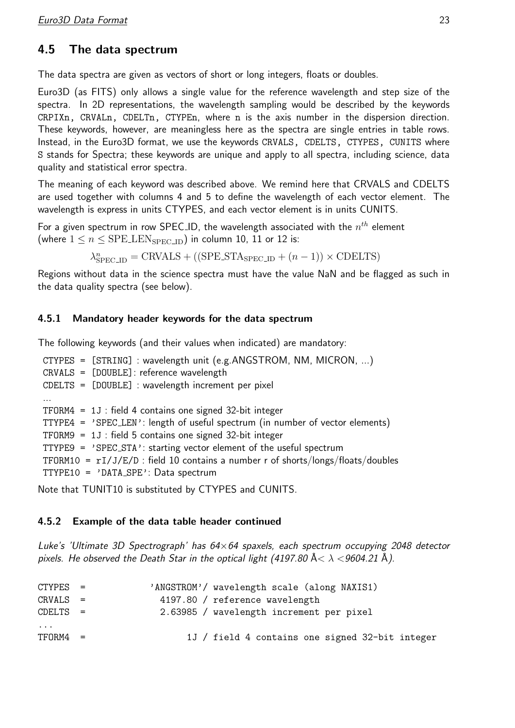### <span id="page-30-0"></span>4.5 The data spectrum

The data spectra are given as vectors of short or long integers, floats or doubles.

Euro3D (as FITS) only allows a single value for the reference wavelength and step size of the spectra. In 2D representations, the wavelength sampling would be described by the keywords CRPIXn, CRVALn, CDELTn, CTYPEn, where n is the axis number in the dispersion direction. These keywords, however, are meaningless here as the spectra are single entries in table rows. Instead, in the Euro3D format, we use the keywords CRVALS, CDELTS, CTYPES, CUNITS where S stands for Spectra; these keywords are unique and apply to all spectra, including science, data quality and statistical error spectra.

The meaning of each keyword was described above. We remind here that CRVALS and CDELTS are used together with columns 4 and 5 to define the wavelength of each vector element. The wavelength is express in units CTYPES, and each vector element is in units CUNITS.

For a given spectrum in row <code>SPEC\_ID</code>, the wavelength associated with the  $n^{th}$  element (where  $1 \le n \le$  SPE\_LEN<sub>SPEC\_ID</sub>) in column 10, 11 or 12 is:

 $\lambda_{\text{SPEC\_ID}}^n = \text{CRVALS} + \left( \text{(SPE\_STA}_{\text{SPEC\_ID}} + (n-1) \right) \times \text{CDELTS}$ 

Regions without data in the science spectra must have the value NaN and be flagged as such in the data quality spectra (see below).

#### <span id="page-30-1"></span>4.5.1 Mandatory header keywords for the data spectrum

The following keywords (and their values when indicated) are mandatory:

CTYPES = [STRING] : wavelength unit (e.g.ANGSTROM, NM, MICRON, ...) CRVALS = [DOUBLE]: reference wavelength CDELTS = [DOUBLE] : wavelength increment per pixel ... TFORM4 = 1J : field 4 contains one signed 32-bit integer TTYPE4 = 'SPEC LEN': length of useful spectrum (in number of vector elements) TFORM9 = 1J : field 5 contains one signed 32-bit integer TTYPE9 =  $'$ SPEC\_STA': starting vector element of the useful spectrum TFORM10 =  $rI/J/E/D$ : field 10 contains a number r of shorts/longs/floats/doubles TTYPE10 = 'DATA SPE': Data spectrum

Note that TUNIT10 is substituted by CTYPES and CUNITS.

#### <span id="page-30-2"></span>4.5.2 Example of the data table header continued

Luke's 'Ultimate 3D Spectrograph' has 64×64 spaxels, each spectrum occupying 2048 detector pixels. He observed the Death Star in the optical light (4197.80  $A < \lambda < 9604.21$  Å).

| $CTYPES =$             | 'ANGSTROM'/ wavelength scale (along NAXIS1)     |
|------------------------|-------------------------------------------------|
| $CRVALS =$             | 4197.80 / reference wavelength                  |
| $CDELTS =$             | 2.63985 / wavelength increment per pixel        |
| $\cdots$<br>$TFORM4 =$ | 1J / field 4 contains one signed 32-bit integer |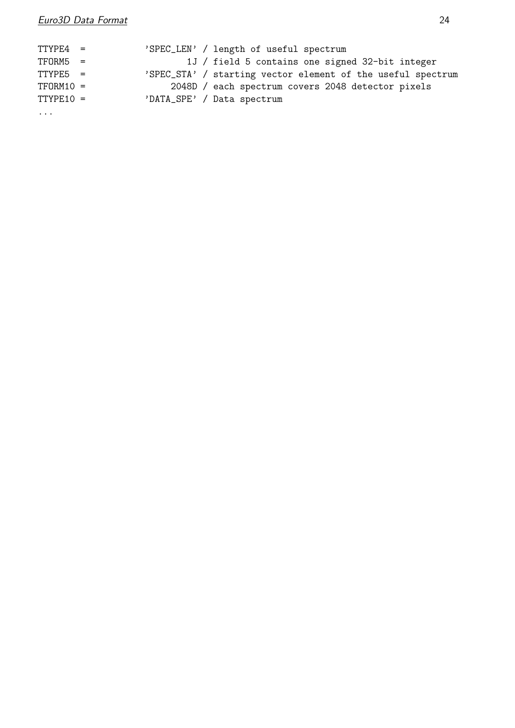| TTYPE4 =    |  | 'SPEC_LEN' / length of useful spectrum                      |
|-------------|--|-------------------------------------------------------------|
| $TFORM5 =$  |  | 1J / field 5 contains one signed 32-bit integer             |
| TTYPE5 =    |  | 'SPEC_STA' / starting vector element of the useful spectrum |
| $TFORM10 =$ |  | 2048D / each spectrum covers 2048 detector pixels           |
| $TTYPE10 =$ |  | 'DATA_SPE' / Data spectrum                                  |
| $\cdots$    |  |                                                             |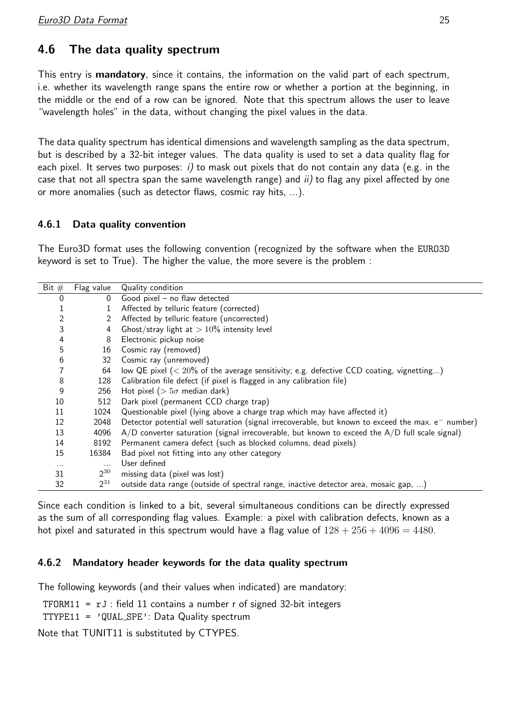# <span id="page-32-0"></span>4.6 The data quality spectrum

This entry is **mandatory**, since it contains, the information on the valid part of each spectrum, i.e. whether its wavelength range spans the entire row or whether a portion at the beginning, in the middle or the end of a row can be ignored. Note that this spectrum allows the user to leave "wavelength holes" in the data, without changing the pixel values in the data.

The data quality spectrum has identical dimensions and wavelength sampling as the data spectrum, but is described by a 32-bit integer values. The data quality is used to set a data quality flag for each pixel. It serves two purposes:  $i$ ) to mask out pixels that do not contain any data (e.g. in the case that not all spectra span the same wavelength range) and  $ii$ ) to flag any pixel affected by one or more anomalies (such as detector flaws, cosmic ray hits, ...).

#### <span id="page-32-1"></span>4.6.1 Data quality convention

The Euro3D format uses the following convention (recognized by the software when the EURO3D keyword is set to True). The higher the value, the more severe is the problem :

| Bit $#$  | Flag value | Quality condition                                                                                             |
|----------|------------|---------------------------------------------------------------------------------------------------------------|
| 0        | $\Omega$   | Good pixel - no flaw detected                                                                                 |
|          | 1          | Affected by telluric feature (corrected)                                                                      |
| 2        | 2          | Affected by telluric feature (uncorrected)                                                                    |
| 3        | 4          | Ghost/stray light at $> 10\%$ intensity level                                                                 |
| 4        | 8          | Electronic pickup noise                                                                                       |
| 5        | 16         | Cosmic ray (removed)                                                                                          |
| 6        | 32         | Cosmic ray (unremoved)                                                                                        |
| 7        | 64         | low QE pixel ( $\lt 20\%$ of the average sensitivity; e.g. defective CCD coating, vignetting)                 |
| 8        | 128        | Calibration file defect (if pixel is flagged in any calibration file)                                         |
| 9        | 256        | Hot pixel ( $> 5\sigma$ median dark)                                                                          |
| 10       | 512        | Dark pixel (permanent CCD charge trap)                                                                        |
| 11       | 1024       | Questionable pixel (lying above a charge trap which may have affected it)                                     |
| 12       | 2048       | Detector potential well saturation (signal irrecoverable, but known to exceed the max. e <sup>-</sup> number) |
| 13       | 4096       | $A/D$ converter saturation (signal irrecoverable, but known to exceed the $A/D$ full scale signal)            |
| 14       | 8192       | Permanent camera defect (such as blocked columns, dead pixels)                                                |
| 15       | 16384      | Bad pixel not fitting into any other category                                                                 |
| $\cdots$ | $\cdots$   | User defined                                                                                                  |
| 31       | $2^{30}$   | missing data (pixel was lost)                                                                                 |
| 32       | $2^{31}$   | outside data range (outside of spectral range, inactive detector area, mosaic gap, )                          |

Since each condition is linked to a bit, several simultaneous conditions can be directly expressed as the sum of all corresponding flag values. Example: a pixel with calibration defects, known as a hot pixel and saturated in this spectrum would have a flag value of  $128 + 256 + 4096 = 4480$ .

#### <span id="page-32-2"></span>4.6.2 Mandatory header keywords for the data quality spectrum

The following keywords (and their values when indicated) are mandatory:

TFORM11 =  $rJ$ : field 11 contains a number r of signed 32-bit integers

TTYPE11 = 'QUAL SPE': Data Quality spectrum

Note that TUNIT11 is substituted by CTYPES.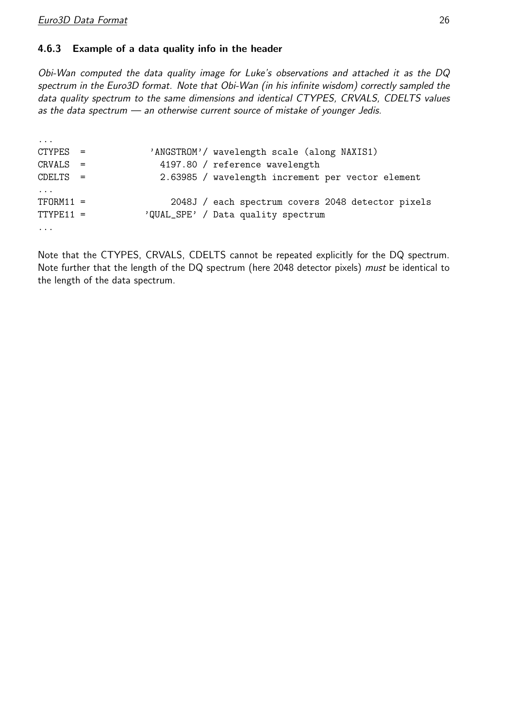#### <span id="page-33-0"></span>4.6.3 Example of a data quality info in the header

Obi-Wan computed the data quality image for Luke's observations and attached it as the DQ spectrum in the Euro3D format. Note that Obi-Wan (in his infinite wisdom) correctly sampled the data quality spectrum to the same dimensions and identical CTYPES, CRVALS, CDELTS values as the data spectrum — an otherwise current source of mistake of younger Jedis.

```
...
CTYPES = 'ANGSTROM'/ wavelength scale (along NAXIS1)
CRVALS = 4197.80 / reference wavelength
CDELTS = 2.63985 / wavelength increment per vector element
...
TFORM11 = 2048J / each spectrum covers 2048 detector pixels
TTYPE11 = 'QUAL_SPE' / Data quality spectrum
...
```
Note that the CTYPES, CRVALS, CDELTS cannot be repeated explicitly for the DQ spectrum. Note further that the length of the DQ spectrum (here 2048 detector pixels) must be identical to the length of the data spectrum.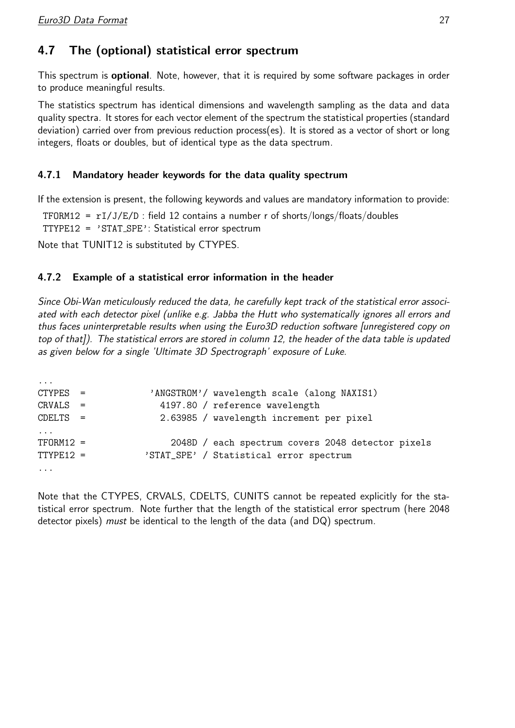...

# <span id="page-34-0"></span>4.7 The (optional) statistical error spectrum

This spectrum is **optional**. Note, however, that it is required by some software packages in order to produce meaningful results.

The statistics spectrum has identical dimensions and wavelength sampling as the data and data quality spectra. It stores for each vector element of the spectrum the statistical properties (standard deviation) carried over from previous reduction process(es). It is stored as a vector of short or long integers, floats or doubles, but of identical type as the data spectrum.

#### <span id="page-34-1"></span>4.7.1 Mandatory header keywords for the data quality spectrum

If the extension is present, the following keywords and values are mandatory information to provide:

TFORM12 =  $rI/J/E/D$ : field 12 contains a number r of shorts/longs/floats/doubles TTYPE12 = 'STAT SPE': Statistical error spectrum

Note that TUNIT12 is substituted by CTYPES.

#### <span id="page-34-2"></span>4.7.2 Example of a statistical error information in the header

Since Obi-Wan meticulously reduced the data, he carefully kept track of the statistical error associated with each detector pixel (unlike e.g. Jabba the Hutt who systematically ignores all errors and thus faces uninterpretable results when using the Euro3D reduction software [unregistered copy on top of that]). The statistical errors are stored in column 12, the header of the data table is updated as given below for a single 'Ultimate 3D Spectrograph' exposure of Luke.

```
CTYPES = 'ANGSTROM'/ wavelength scale (along NAXIS1)
CRVALS = 4197.80 / reference wavelength
CDELTS = 2.63985 / wavelength increment per pixel
...
TFORM12 = 2048D / each spectrum covers 2048 detector pixels
TTYPE12 = 'STAT_SPE' / Statistical error spectrum
...
```
Note that the CTYPES, CRVALS, CDELTS, CUNITS cannot be repeated explicitly for the statistical error spectrum. Note further that the length of the statistical error spectrum (here 2048 detector pixels) must be identical to the length of the data (and DQ) spectrum.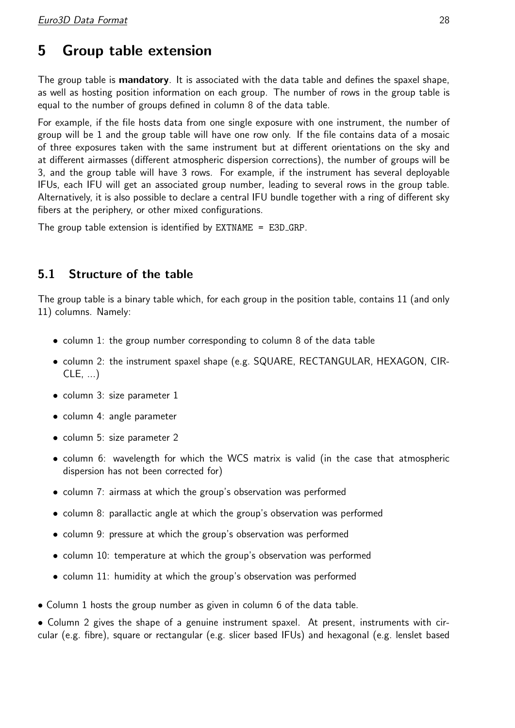# <span id="page-35-0"></span>5 Group table extension

The group table is mandatory. It is associated with the data table and defines the spaxel shape, as well as hosting position information on each group. The number of rows in the group table is equal to the number of groups defined in column 8 of the data table.

For example, if the file hosts data from one single exposure with one instrument, the number of group will be 1 and the group table will have one row only. If the file contains data of a mosaic of three exposures taken with the same instrument but at different orientations on the sky and at different airmasses (different atmospheric dispersion corrections), the number of groups will be 3, and the group table will have 3 rows. For example, if the instrument has several deployable IFUs, each IFU will get an associated group number, leading to several rows in the group table. Alternatively, it is also possible to declare a central IFU bundle together with a ring of different sky fibers at the periphery, or other mixed configurations.

The group table extension is identified by  $EXTNAME = E3D_GRP$ .

### <span id="page-35-1"></span>5.1 Structure of the table

The group table is a binary table which, for each group in the position table, contains 11 (and only 11) columns. Namely:

- column 1: the group number corresponding to column 8 of the data table
- column 2: the instrument spaxel shape (e.g. SQUARE, RECTANGULAR, HEXAGON, CIR-CLE, ...)
- column 3: size parameter 1
- column 4: angle parameter
- column 5: size parameter 2
- column 6: wavelength for which the WCS matrix is valid (in the case that atmospheric dispersion has not been corrected for)
- column 7: airmass at which the group's observation was performed
- column 8: parallactic angle at which the group's observation was performed
- column 9: pressure at which the group's observation was performed
- column 10: temperature at which the group's observation was performed
- column 11: humidity at which the group's observation was performed
- Column 1 hosts the group number as given in column 6 of the data table.
- Column 2 gives the shape of a genuine instrument spaxel. At present, instruments with circular (e.g. fibre), square or rectangular (e.g. slicer based IFUs) and hexagonal (e.g. lenslet based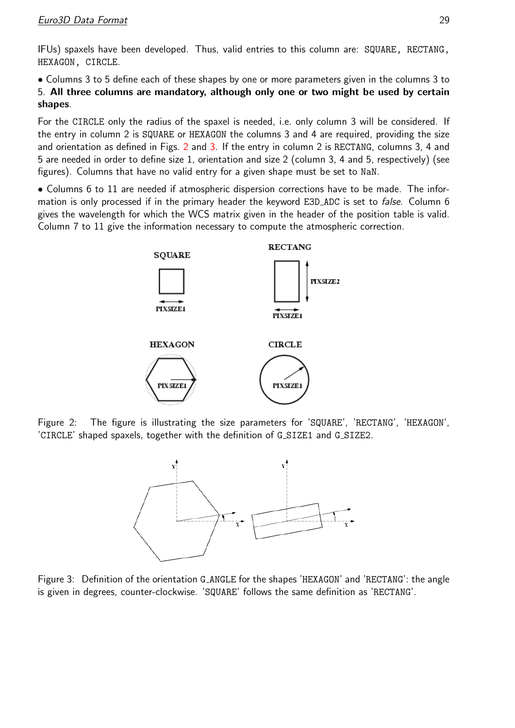IFUs) spaxels have been developed. Thus, valid entries to this column are: SQUARE, RECTANG, HEXAGON, CIRCLE.

• Columns 3 to 5 define each of these shapes by one or more parameters given in the columns 3 to 5. All three columns are mandatory, although only one or two might be used by certain shapes.

For the CIRCLE only the radius of the spaxel is needed, i.e. only column 3 will be considered. If the entry in column 2 is SQUARE or HEXAGON the columns 3 and 4 are required, providing the size and orientation as defined in Figs. [2](#page-36-0) and [3.](#page-36-1) If the entry in column 2 is RECTANG, columns 3, 4 and 5 are needed in order to define size 1, orientation and size 2 (column 3, 4 and 5, respectively) (see figures). Columns that have no valid entry for a given shape must be set to NaN.

• Columns 6 to 11 are needed if atmospheric dispersion corrections have to be made. The information is only processed if in the primary header the keyword E3D\_ADC is set to false. Column 6 gives the wavelength for which the WCS matrix given in the header of the position table is valid. Column 7 to 11 give the information necessary to compute the atmospheric correction.



<span id="page-36-0"></span>Figure 2: The figure is illustrating the size parameters for 'SQUARE', 'RECTANG', 'HEXAGON', 'CIRCLE' shaped spaxels, together with the definition of G SIZE1 and G SIZE2.



<span id="page-36-1"></span>Figure 3: Definition of the orientation G ANGLE for the shapes 'HEXAGON' and 'RECTANG': the angle is given in degrees, counter-clockwise. 'SQUARE' follows the same definition as 'RECTANG'.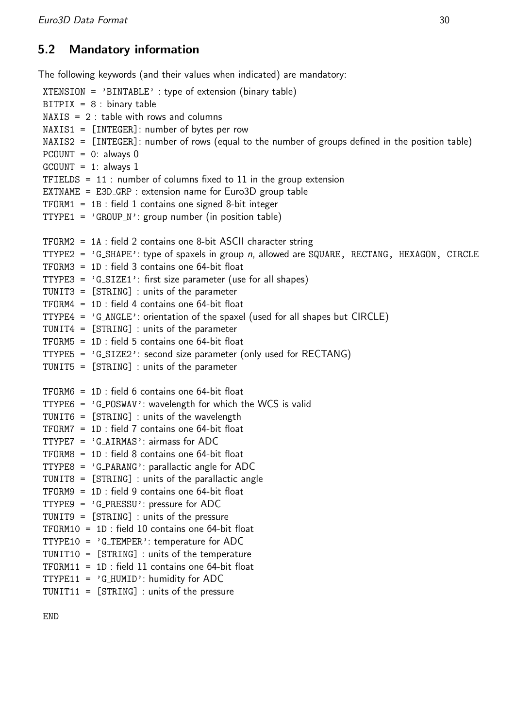# <span id="page-37-0"></span>5.2 Mandatory information

The following keywords (and their values when indicated) are mandatory:

 $XTENSTON = 'BINTABLE' : type of extension (binary table)$  $BITPLY = 8 : binary table$  $NAXIS = 2$ : table with rows and columns NAXIS1 = [INTEGER]: number of bytes per row NAXIS2 = [INTEGER]: number of rows (equal to the number of groups defined in the position table)  $PCOUNT = 0$ : always 0  $GCOUNT = 1:$  always 1 TFIELDS =  $11$ : number of columns fixed to 11 in the group extension EXTNAME = E3D GRP : extension name for Euro3D group table TFORM1 = 1B : field 1 contains one signed 8-bit integer TTYPE1 =  $'$ GROUP\_N': group number (in position table) TFORM2 = 1A : field 2 contains one 8-bit ASCII character string TTYPE2 =  $^{\prime}$ G\_SHAPE': type of spaxels in group n, allowed are SQUARE, RECTANG, HEXAGON, CIRCLE TFORM3 = 1D : field 3 contains one 64-bit float TTYPE3 =  ${}^{3}$ G\_SIZE1': first size parameter (use for all shapes) TUNIT3 = [STRING] : units of the parameter TFORM4 = 1D : field 4 contains one 64-bit float TTYPE4 =  $^{\circ}$ G\_ANGLE': orientation of the spaxel (used for all shapes but CIRCLE) TUNIT4 = [STRING] : units of the parameter TFORM5 = 1D : field 5 contains one 64-bit float TTYPE5 =  $^{\prime}$ G\_SIZE2': second size parameter (only used for RECTANG) TUNIT5 = [STRING] : units of the parameter TFORM6 = 1D : field 6 contains one 64-bit float TTYPE6 =  $G_POSWAV$ : wavelength for which the WCS is valid TUNIT6 = [STRING] : units of the wavelength TFORM7 = 1D : field 7 contains one 64-bit float TTYPE7 =  $\,$ 'G AIRMAS': airmass for ADC TFORM8 = 1D : field 8 contains one 64-bit float TTYPE8 =  ${^{\circ}G}$ -PARANG': parallactic angle for ADC TUNIT8 = [STRING] : units of the parallactic angle TFORM9 = 1D : field 9 contains one 64-bit float TTYPE9 = 'G PRESSU': pressure for ADC TUNIT9 = [STRING] : units of the pressure TFORM10 = 1D : field 10 contains one 64-bit float TTYPE10 =  $'G_TEMPER'$ : temperature for ADC TUNIT10 = [STRING] : units of the temperature TFORM11 = 1D : field 11 contains one 64-bit float TTYPE11 =  $'G_HUMID'$ : humidity for ADC TUNIT11 = [STRING] : units of the pressure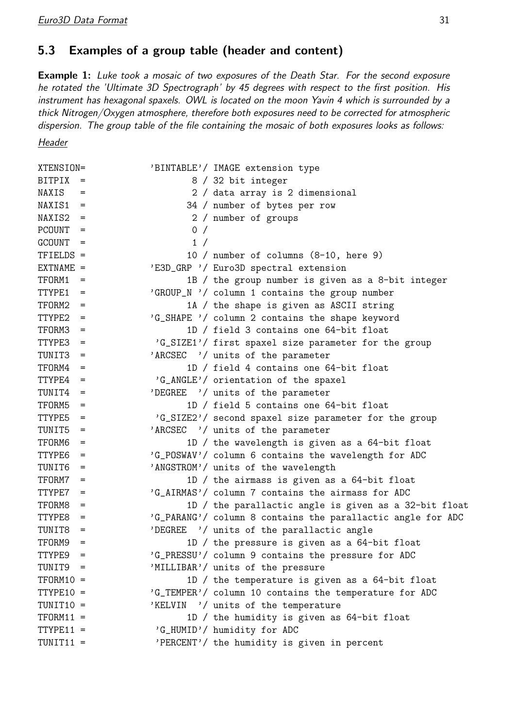### <span id="page-38-0"></span>5.3 Examples of a group table (header and content)

**Example 1:** Luke took a mosaic of two exposures of the Death Star. For the second exposure he rotated the 'Ultimate 3D Spectrograph' by 45 degrees with respect to the first position. His instrument has hexagonal spaxels. OWL is located on the moon Yavin 4 which is surrounded by a thick Nitrogen/Oxygen atmosphere, therefore both exposures need to be corrected for atmospheric dispersion. The group table of the file containing the mosaic of both exposures looks as follows:

Header

| XTENSION=         |    | 'BINTABLE'/ IMAGE extension type                            |
|-------------------|----|-------------------------------------------------------------|
| $BITPLY =$        |    | 8 / 32 bit integer                                          |
| $=$               |    | 2 / data array is 2 dimensional                             |
| $NAXIS1 =$        |    | 34 / number of bytes per row                                |
| $NAXIS2 =$        |    | 2 / number of groups                                        |
| $PCOUNT =$        | 0/ |                                                             |
| $GCOUNT =$        | 1/ |                                                             |
| TFIELDS =         |    | 10 / number of columns (8-10, here 9)                       |
| $EXTNAME =$       |    | 'E3D_GRP '/ Euro3D spectral extension                       |
| $TFORM1 =$        |    | 1B / the group number is given as a 8-bit integer           |
| TTYPE1 =          |    | 'GROUP_N '/ column 1 contains the group number              |
| $TFORM2 =$        |    | 1A / the shape is given as ASCII string                     |
| $TTYPE2 =$        |    | 'G_SHAPE '/ column 2 contains the shape keyword             |
| $TFORM3 =$        |    | 1D / field 3 contains one 64-bit float                      |
| TTYPE3 =          |    | 'G_SIZE1'/ first spaxel size parameter for the group        |
| TUNIT3 =          |    | 'ARCSEC '/ units of the parameter                           |
| $TFORM4 =$        |    | 1D / field 4 contains one 64-bit float                      |
| TTYPE4<br>$=$     |    | 'G_ANGLE'/ orientation of the spaxel                        |
| TUNIT4 =          |    | 'DEGREE '/ units of the parameter                           |
| $TFORM5 =$        |    | 1D / field 5 contains one 64-bit float                      |
| TTYPE5 =          |    | 'G_SIZE2'/ second spaxel size parameter for the group       |
| TUNIT5 =          |    | 'ARCSEC '/ units of the parameter                           |
| TFORM6<br>$=$     |    | 1D / the wavelength is given as a 64-bit float              |
| TTYPE6<br>$\,=\,$ |    | 'G_POSWAV'/ column 6 contains the wavelength for ADC        |
| TUNIT6 =          |    | 'ANGSTROM'/ units of the wavelength                         |
| $TFORM7 =$        |    | 1D / the airmass is given as a 64-bit float                 |
| TTYPE7 =          |    | 'G_AIRMAS'/ column 7 contains the airmass for ADC           |
| TFORM8<br>$=$     |    | 1D / the parallactic angle is given as a 32-bit float       |
| TTYPE8 =          |    | 'G_PARANG'/ column 8 contains the parallactic angle for ADC |
| TUNIT8<br>$=$     |    | 'DEGREE '/ units of the parallactic angle                   |
| $=$               |    | 1D / the pressure is given as a 64-bit float                |
| TTYPE9<br>$=$     |    | 'G_PRESSU'/ column 9 contains the pressure for ADC          |
| TUNIT9 =          |    | 'MILLIBAR'/ units of the pressure                           |
| $TFORM10 =$       |    | 1D / the temperature is given as a 64-bit float             |
| $TTYPE10 =$       |    | 'G_TEMPER'/ column 10 contains the temperature for ADC      |
| $TUNIT10 =$       |    | 'KELVIN '/ units of the temperature                         |
| $TFORM11 =$       |    | 1D / the humidity is given as 64-bit float                  |
| $TTYPE11 =$       |    | 'G_HUMID'/ humidity for ADC                                 |
| $TUNIT11 =$       |    | 'PERCENT'/ the humidity is given in percent                 |
|                   |    |                                                             |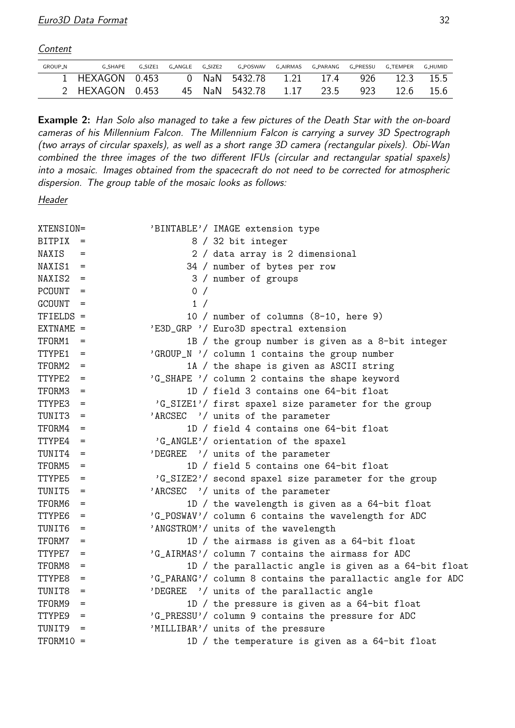**Content** 

| <b>GROUP_N</b> | G_SHAPE         | G_SIZE1 | G ANGLE | G SIZE <sub>2</sub> | G POSWAV            | <b>G_AIRMAS</b> | G_PARANG | <b>G PRESSU</b> | <b>G TEMPER</b> | <b>G_HUMID</b> |
|----------------|-----------------|---------|---------|---------------------|---------------------|-----------------|----------|-----------------|-----------------|----------------|
|                | 1 HEXAGON 0.453 |         |         |                     | NaN 5432.78         | 1.21            | 174      | 926             | 12.3            | 15.5           |
|                | 2 HEXAGON 0.453 |         |         |                     | 45 NaN 5432.78 1.17 |                 | 23.5     | 923             | 12.6            | 15.6           |

Example 2: Han Solo also managed to take a few pictures of the Death Star with the on-board cameras of his Millennium Falcon. The Millennium Falcon is carrying a survey 3D Spectrograph (two arrays of circular spaxels), as well as a short range 3D camera (rectangular pixels). Obi-Wan combined the three images of the two different IFUs (circular and rectangular spatial spaxels) into a mosaic. Images obtained from the spacecraft do not need to be corrected for atmospheric dispersion. The group table of the mosaic looks as follows:

**Header** 

| XTENSION=   |     |     | 'BINTABLE'/ IMAGE extension type                            |
|-------------|-----|-----|-------------------------------------------------------------|
| $BITPLY =$  |     |     | 8 / 32 bit integer                                          |
| $NAXIS =$   |     |     | 2 / data array is 2 dimensional                             |
| $NAXIS1 =$  |     |     | 34 / number of bytes per row                                |
| $NAXIS2 =$  |     |     | 3 / number of groups                                        |
| $PCOUNT =$  |     | 0 / |                                                             |
| $GCOUNT =$  |     | 1/  |                                                             |
| TFIELDS =   |     |     | 10 / number of columns (8-10, here 9)                       |
| EXTNAME =   |     |     | 'E3D_GRP '/ Euro3D spectral extension                       |
| $TFORM1 =$  |     |     | 1B / the group number is given as a 8-bit integer           |
| TTYPE1 =    |     |     | 'GROUP_N '/ column 1 contains the group number              |
| $TFORM2 =$  |     |     | 1A / the shape is given as ASCII string                     |
| $TTYPE2 =$  |     |     | 'G_SHAPE '/ column 2 contains the shape keyword             |
| $TFORM3 =$  |     |     | 1D / field 3 contains one 64-bit float                      |
| TTYPE3 =    |     |     | 'G_SIZE1'/ first spaxel size parameter for the group        |
| TUNIT3 =    |     |     | 'ARCSEC '/ units of the parameter                           |
| $TFORM4 =$  |     |     | 1D / field 4 contains one 64-bit float                      |
| TTYPE4 =    |     |     | 'G_ANGLE'/ orientation of the spaxel                        |
| TUNIT4 =    |     |     | 'DEGREE '/ units of the parameter                           |
| $TFORM5 =$  |     |     | 1D / field 5 contains one 64-bit float                      |
| TTYPE5 =    |     |     | 'G_SIZE2'/ second spaxel size parameter for the group       |
| TUNIT5 =    |     |     | 'ARCSEC '/ units of the parameter                           |
| TFORM6 =    |     |     | 1D / the wavelength is given as a 64-bit float              |
| TTYPE6 =    |     |     | 'G_POSWAV'/ column 6 contains the wavelength for ADC        |
| TUNIT6 =    |     |     | 'ANGSTROM'/ units of the wavelength                         |
| $TFORM7 =$  |     |     | 1D / the airmass is given as a 64-bit float                 |
| TTYPE7 =    |     |     | 'G_AIRMAS'/ column 7 contains the airmass for ADC           |
| TFORM8 =    |     |     | 1D / the parallactic angle is given as a 64-bit float       |
| TTYPE8      | $=$ |     | 'G_PARANG'/ column 8 contains the parallactic angle for ADC |
| TUNIT8 =    |     |     | 'DEGREE '/ units of the parallactic angle                   |
| TFORM9 =    |     |     | 1D / the pressure is given as a 64-bit float                |
| TTYPE9 =    |     |     | 'G_PRESSU'/ column 9 contains the pressure for ADC          |
| TUNIT9 =    |     |     | 'MILLIBAR'/ units of the pressure                           |
| $TFORM10 =$ |     |     | 1D / the temperature is given as a 64-bit float             |
|             |     |     |                                                             |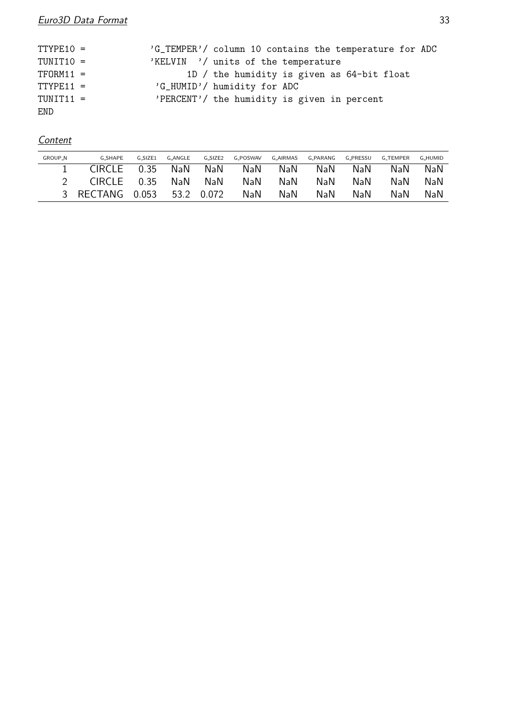## **Euro3D Data Format** 33

| $TTYPE10 =$ | 'G_TEMPER'/ column 10 contains the temperature for ADC |
|-------------|--------------------------------------------------------|
| $TUNIT10 =$ | 'KELVIN '/ units of the temperature                    |
| $TFORM11 =$ | 1D / the humidity is given as 64-bit float             |
| $TTYPE11 =$ | 'G_HUMID'/ humidity for ADC                            |
| $TUNIT11 =$ | 'PERCENT'/ the humidity is given in percent            |
| END         |                                                        |

**Content** 

| <b>GROUP_N</b> | <b>G_SHAPE</b>                | G SIZE1 | G_ANGLE | G_SIZE2 | G_POSWAV | <b>G_AIRMAS</b> | G_PARANG | <b>G_PRESSU</b> | G TEMPER | G_HUMID |
|----------------|-------------------------------|---------|---------|---------|----------|-----------------|----------|-----------------|----------|---------|
|                | CIRCLE 0.35 NaN               |         |         | – NaN   | NaN.     | NaN -           | NaN      | NaN.            | NaN      | NaN     |
|                | CIRCLE 0.35                   |         | NaN     | – NaN   | NaN.     | NaN             | NaN.     | NaN.            | NaN      | NaN     |
|                | 3 RECTANG  0.053  53.2  0.072 |         |         |         | NaN.     | NaN.            | NaN.     | NaN.            | NaN.     | NaN     |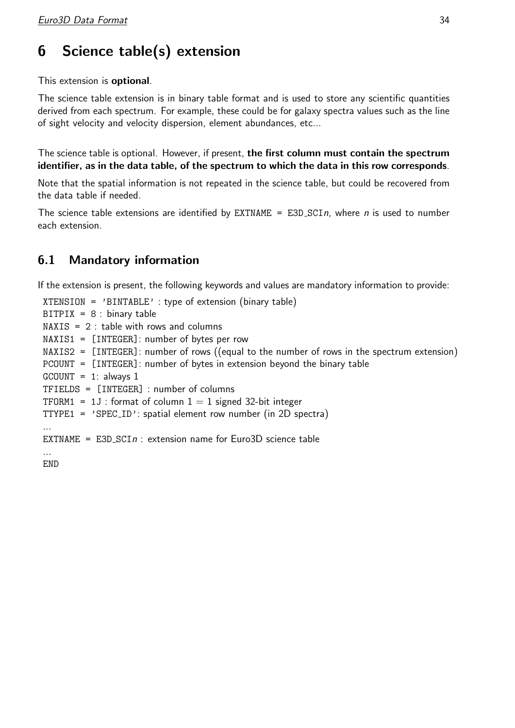# <span id="page-41-0"></span>6 Science table(s) extension

This extension is optional.

The science table extension is in binary table format and is used to store any scientific quantities derived from each spectrum. For example, these could be for galaxy spectra values such as the line of sight velocity and velocity dispersion, element abundances, etc...

The science table is optional. However, if present, the first column must contain the spectrum identifier, as in the data table, of the spectrum to which the data in this row corresponds.

Note that the spatial information is not repeated in the science table, but could be recovered from the data table if needed.

The science table extensions are identified by EXTNAME = E3D\_SCIn, where n is used to number each extension.

# <span id="page-41-1"></span>6.1 Mandatory information

If the extension is present, the following keywords and values are mandatory information to provide:

 $XTENSION = 'BINTABLE' : type of extension (binary table)$  $BITPLY = 8 : binary table$  $NAXIS = 2$  : table with rows and columns NAXIS1 = [INTEGER]: number of bytes per row  $NAXIS2 = [INTER]: number of rows ((equal to the number of rows in the spectrum extension)$ PCOUNT = [INTEGER]: number of bytes in extension beyond the binary table  $GCOUNT = 1:$  always 1 TFIELDS = [INTEGER] : number of columns TFORM1 = 1J : format of column  $1 = 1$  signed 32-bit integer TTYPE1 = 'SPEC ID': spatial element row number (in 2D spectra) ... EXTNAME = E3D\_SCI $n$ : extension name for Euro3D science table ...

END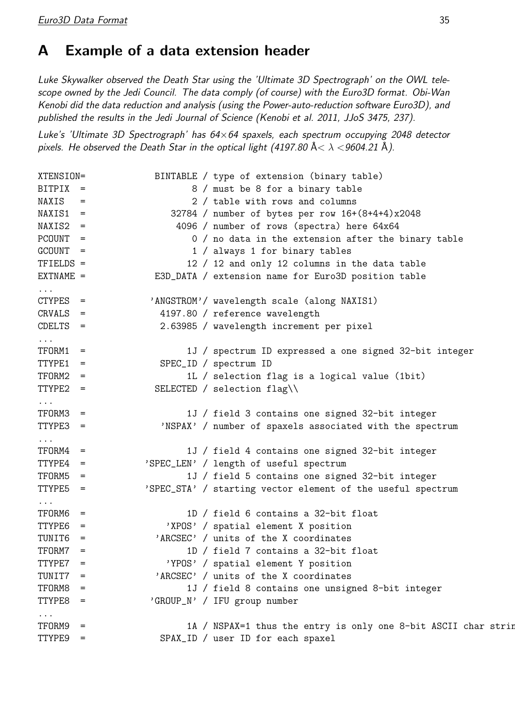# <span id="page-42-0"></span>A Example of a data extension header

Luke Skywalker observed the Death Star using the 'Ultimate 3D Spectrograph' on the OWL telescope owned by the Jedi Council. The data comply (of course) with the Euro3D format. Obi-Wan Kenobi did the data reduction and analysis (using the Power-auto-reduction software Euro3D), and published the results in the Jedi Journal of Science (Kenobi et al. 2011, JJoS 3475, 237).

Luke's 'Ultimate 3D Spectrograph' has 64×64 spaxels, each spectrum occupying 2048 detector pixels. He observed the Death Star in the optical light (4197.80  $A < \lambda < 9604.21$  Å).

| XTENSION=          |     | BINTABLE / type of extension (binary table)                    |
|--------------------|-----|----------------------------------------------------------------|
| $BITPLY =$         |     | 8 / must be 8 for a binary table                               |
| NAXIS              | $=$ | 2 / table with rows and columns                                |
| $NAXIS1 =$         |     | 32784 / number of bytes per row 16+(8+4+4)x2048                |
| $NAXIS2 =$         |     | 4096 / number of rows (spectra) here 64x64                     |
| PCOUNT             | $=$ | 0 / no data in the extension after the binary table            |
| $GCOUNT =$         |     | 1 / always 1 for binary tables                                 |
| TFIELDS =          |     | 12 / 12 and only 12 columns in the data table                  |
| $EXTNAME =$        |     | E3D_DATA / extension name for Euro3D position table            |
| $\cdots$           |     |                                                                |
| $CTYPES =$         |     | 'ANGSTROM'/ wavelength scale (along NAXIS1)                    |
| $CRVALS =$         |     | 4197.80 / reference wavelength                                 |
| $CDELTS =$         |     | 2.63985 / wavelength increment per pixel                       |
| $\cdots$           |     |                                                                |
| $TFORM1 =$         |     | 1J / spectrum ID expressed a one signed 32-bit integer         |
| $TTYPE1 =$         |     | SPEC_ID / spectrum ID                                          |
| $TFORM2 =$         |     | 1L / selection flag is a logical value (1bit)                  |
| $TTYPE2 =$         |     | SELECTED / selection flag\\                                    |
| .                  |     |                                                                |
| $TFORM3 =$         |     | 1J / field 3 contains one signed 32-bit integer                |
| $TTYPE3 =$         |     | 'NSPAX' / number of spaxels associated with the spectrum       |
| $\cdots$           |     |                                                                |
| $TFORM4 =$         |     | 1J / field 4 contains one signed 32-bit integer                |
| $TTYPE4 =$         |     | 'SPEC_LEN' / length of useful spectrum                         |
| $TFORM5 =$         |     | 1J / field 5 contains one signed 32-bit integer                |
| TTYPE5 =           |     | 'SPEC_STA' / starting vector element of the useful spectrum    |
| $\cdots$           |     |                                                                |
| TFORM6 =           |     | 1D / field 6 contains a 32-bit float                           |
| TTYPE6             | $=$ | 'XPOS' / spatial element X position                            |
| TUNIT6             | $=$ | 'ARCSEC' / units of the X coordinates                          |
| TFORM7             | $=$ | 1D / field 7 contains a 32-bit float                           |
| TTYPE7             | $=$ | 'YPOS' / spatial element Y position                            |
| TUNIT7             | $=$ | 'ARCSEC' / units of the X coordinates                          |
| TFORM8             | =   | 1J / field 8 contains one unsigned 8-bit integer               |
| TTYPE8             | =   | 'GROUP_N' / IFU group number                                   |
| $\cdots$<br>TFORM9 | $=$ | 1A / NSPAX=1 thus the entry is only one 8-bit ASCII char strin |
| TTYPE9             | $=$ | SPAX_ID / user ID for each spaxel                              |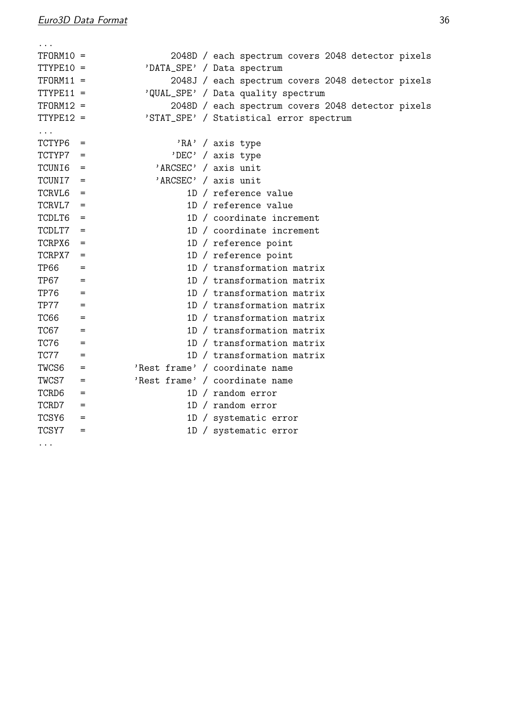| $TFORM10 =$                     |                   |  | 2048D / each spectrum covers 2048 detector pixels |
|---------------------------------|-------------------|--|---------------------------------------------------|
| $TTYPE10 =$                     |                   |  | 'DATA_SPE' / Data spectrum                        |
| $TFORM11 =$                     |                   |  | 2048J / each spectrum covers 2048 detector pixels |
| $TTYPE11 =$                     |                   |  | 'QUAL_SPE' / Data quality spectrum                |
| $TFORM12 =$                     |                   |  | 2048D / each spectrum covers 2048 detector pixels |
| $TTYPE12 =$                     |                   |  | 'STAT_SPE' / Statistical error spectrum           |
|                                 |                   |  |                                                   |
| TCTYP6                          | $=$               |  | 'RA' / axis type                                  |
| TCTYP7 =                        |                   |  | 'DEC' / axis type                                 |
| TCUNI6                          | $=$               |  | 'ARCSEC' / axis unit                              |
| TCUNI7                          | $=$               |  | 'ARCSEC' / axis unit                              |
| TCRVL6                          | $=$               |  | 1D / reference value                              |
| TCRVL7 =                        |                   |  | 1D / reference value                              |
| TCDLT6                          | $=$               |  | 1D / coordinate increment                         |
| TCDLT7 =                        |                   |  | 1D / coordinate increment                         |
| TCRPX6                          | $=$               |  | 1D / reference point                              |
| $TCRPX7 =$                      |                   |  | 1D / reference point                              |
| TP66<br>$\sim$ $\sim$ $\approx$ |                   |  | 1D / transformation matrix                        |
| TP67                            | $=$               |  | 1D / transformation matrix                        |
| TP76                            | $=$               |  | 1D / transformation matrix                        |
| TP77<br>$\sim$ $\sim$ $\sim$    |                   |  | 1D / transformation matrix                        |
| TC66<br>$\overline{a}$ =        |                   |  | 1D / transformation matrix                        |
| TC67                            | $=$               |  | 1D / transformation matrix                        |
| TC76                            | $=$               |  | 1D / transformation matrix                        |
| TC77                            | $=$               |  | 1D / transformation matrix                        |
| TWCS6                           | $=$               |  | 'Rest frame' / coordinate name                    |
| TWCS7                           | $=$               |  | 'Rest frame' / coordinate name                    |
| TCRD6                           | $\sim$ $=$        |  | 1D / random error                                 |
| TCRD7                           | $\qquad \qquad =$ |  | 1D / random error                                 |
| TCSY6                           | $=$               |  | 1D / systematic error                             |
| TCSY7                           | $=$               |  | 1D / systematic error                             |
|                                 |                   |  |                                                   |

...